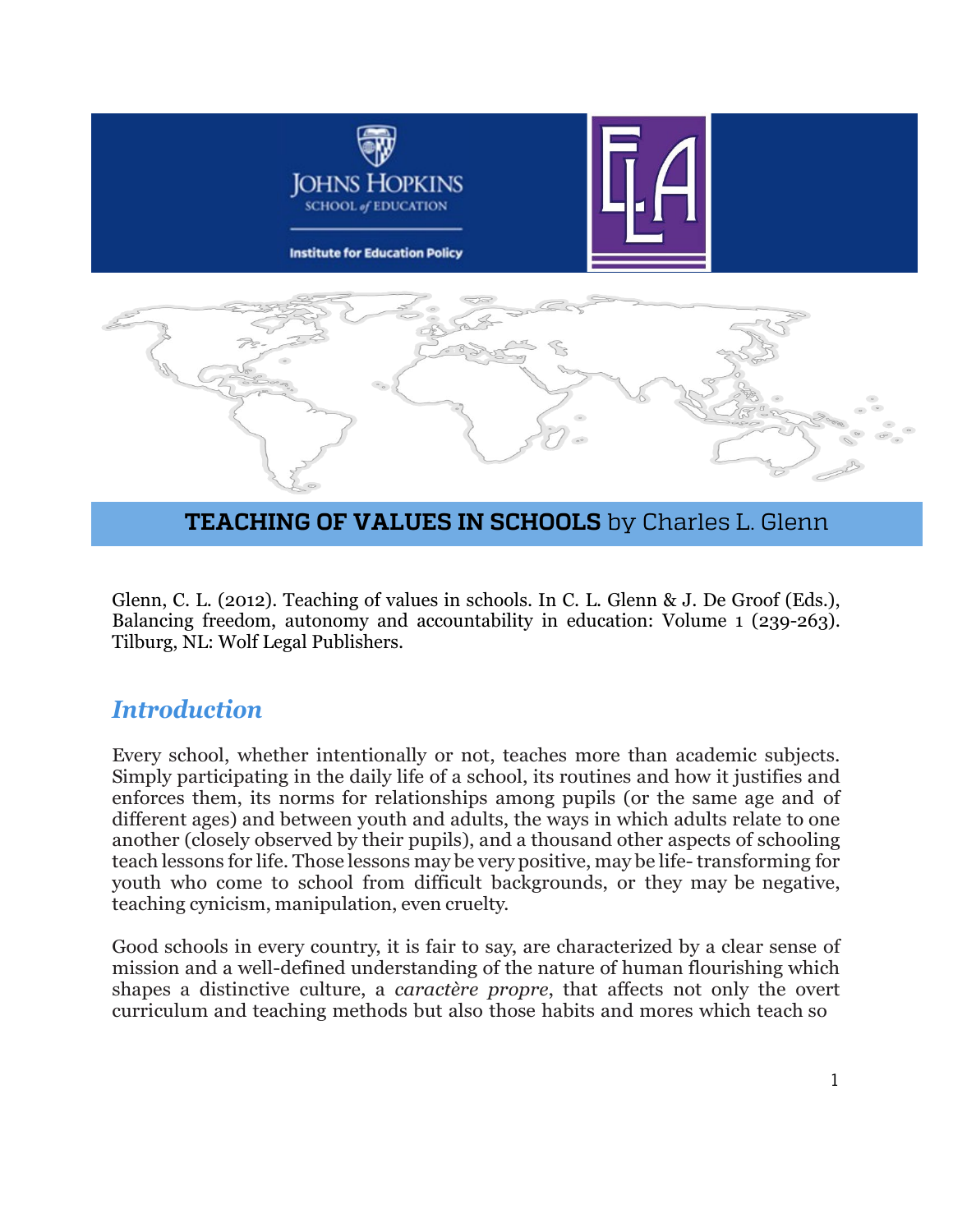

#### **TEACHING OF VALUES IN SCHOOLS** by Charles L. Glenn

Glenn, C. L. (2012). Teaching of values in schools. In C. L. Glenn & J. De Groof (Eds.), Balancing freedom, autonomy and accountability in education: Volume 1 (239-263). Tilburg, NL: Wolf Legal Publishers.

#### *Introduction*

Every school, whether intentionally or not, teaches more than academic subjects. Simply participating in the daily life of a school, its routines and how it justifies and enforces them, its norms for relationships among pupils (or the same age and of different ages) and between youth and adults, the ways in which adults relate to one another (closely observed by their pupils), and a thousand other aspects of schooling teach lessons for life. Those lessons may be very positive, may be life-transforming for youth who come to school from difficult backgrounds, or they may be negative, teaching cynicism, manipulation, even cruelty.

Good schools in every country, it is fair to say, are characterized by a clear sense of mission and a well-defined understanding of the nature of human flourishing which shapes a distinctive culture, a *caractère propre*, that affects not only the overt curriculum and teaching methods but also those habits and mores which teach so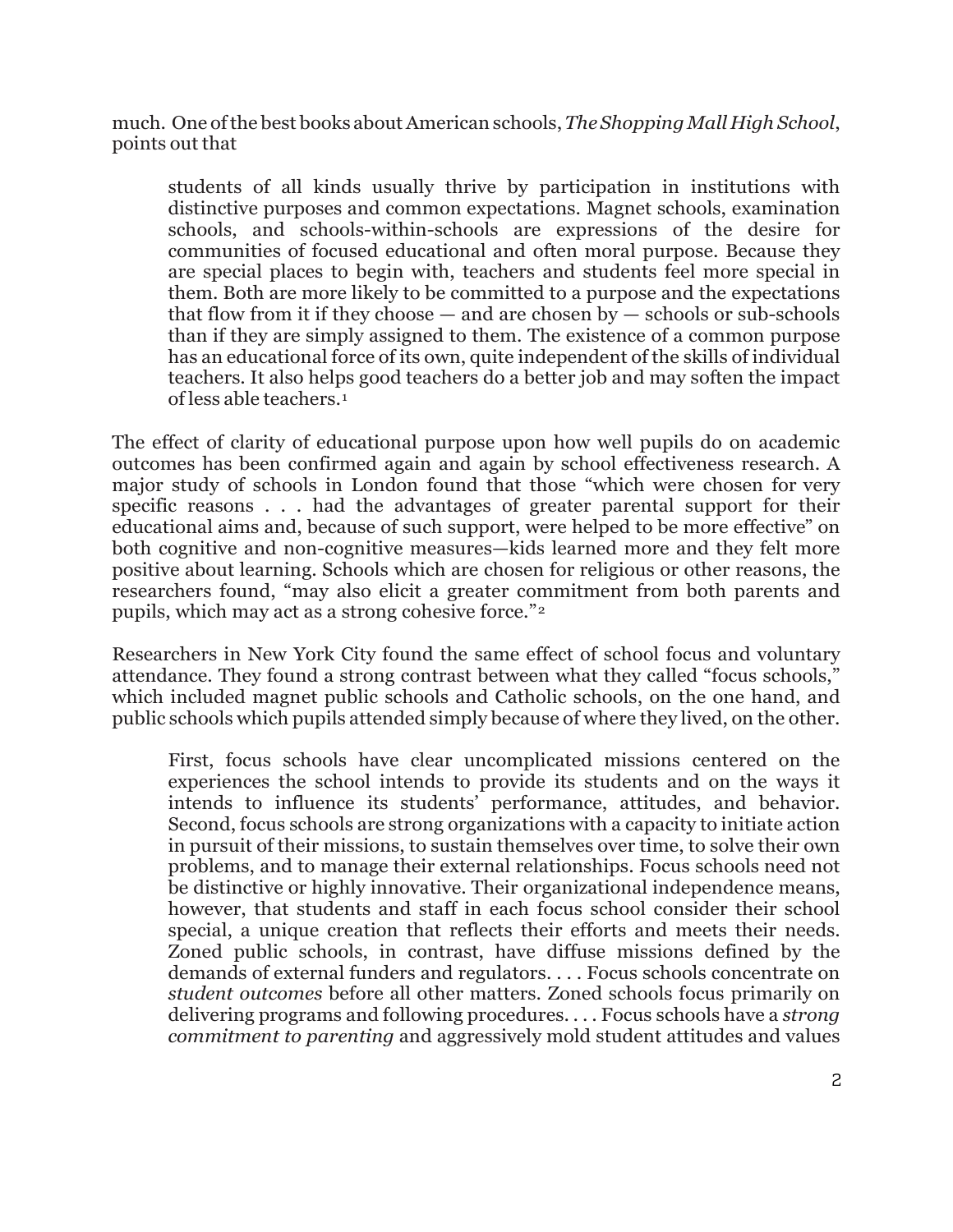much. One ofthe best books aboutAmerican schools,*The ShoppingMall High School*, points out that

students of all kinds usually thrive by participation in institutions with distinctive purposes and common expectations. Magnet schools, examination schools, and schools-within-schools are expressions of the desire for communities of focused educational and often moral purpose. Because they are special places to begin with, teachers and students feel more special in them. Both are more likely to be committed to a purpose and the expectations that flow from it if they choose  $-$  and are chosen by  $-$  schools or sub-schools than if they are simply assigned to them. The existence of a common purpose has an educational force of its own, quite independent of the skills of individual teachers. It also helps good teachers do a better job and may soften the impact of less able teachers.[1](#page-23-0)

The effect of clarity of educational purpose upon how well pupils do on academic outcomes has been confirmed again and again by school effectiveness research. A major study of schools in London found that those "which were chosen for very specific reasons . . . had the advantages of greater parental support for their educational aims and, because of such support, were helped to be more effective" on both cognitive and non-cognitive measures—kids learned more and they felt more positive about learning. Schools which are chosen for religious or other reasons, the researchers found, "may also elicit a greater commitment from both parents and pupils, which may act as a strong cohesive force."[2](#page-23-1)

Researchers in New York City found the same effect of school focus and voluntary attendance. They found a strong contrast between what they called "focus schools," which included magnet public schools and Catholic schools, on the one hand, and public schools which pupils attended simply because of where they lived, on the other.

First, focus schools have clear uncomplicated missions centered on the experiences the school intends to provide its students and on the ways it intends to influence its students' performance, attitudes, and behavior. Second, focus schools are strong organizations with a capacity to initiate action in pursuit of their missions, to sustain themselves over time, to solve their own problems, and to manage their external relationships. Focus schools need not be distinctive or highly innovative. Their organizational independence means, however, that students and staff in each focus school consider their school special, a unique creation that reflects their efforts and meets their needs. Zoned public schools, in contrast, have diffuse missions defined by the demands of external funders and regulators. . . . Focus schools concentrate on *student outcomes* before all other matters. Zoned schools focus primarily on delivering programs and following procedures. . . . Focus schools have a *strong commitment to parenting* and aggressively mold student attitudes and values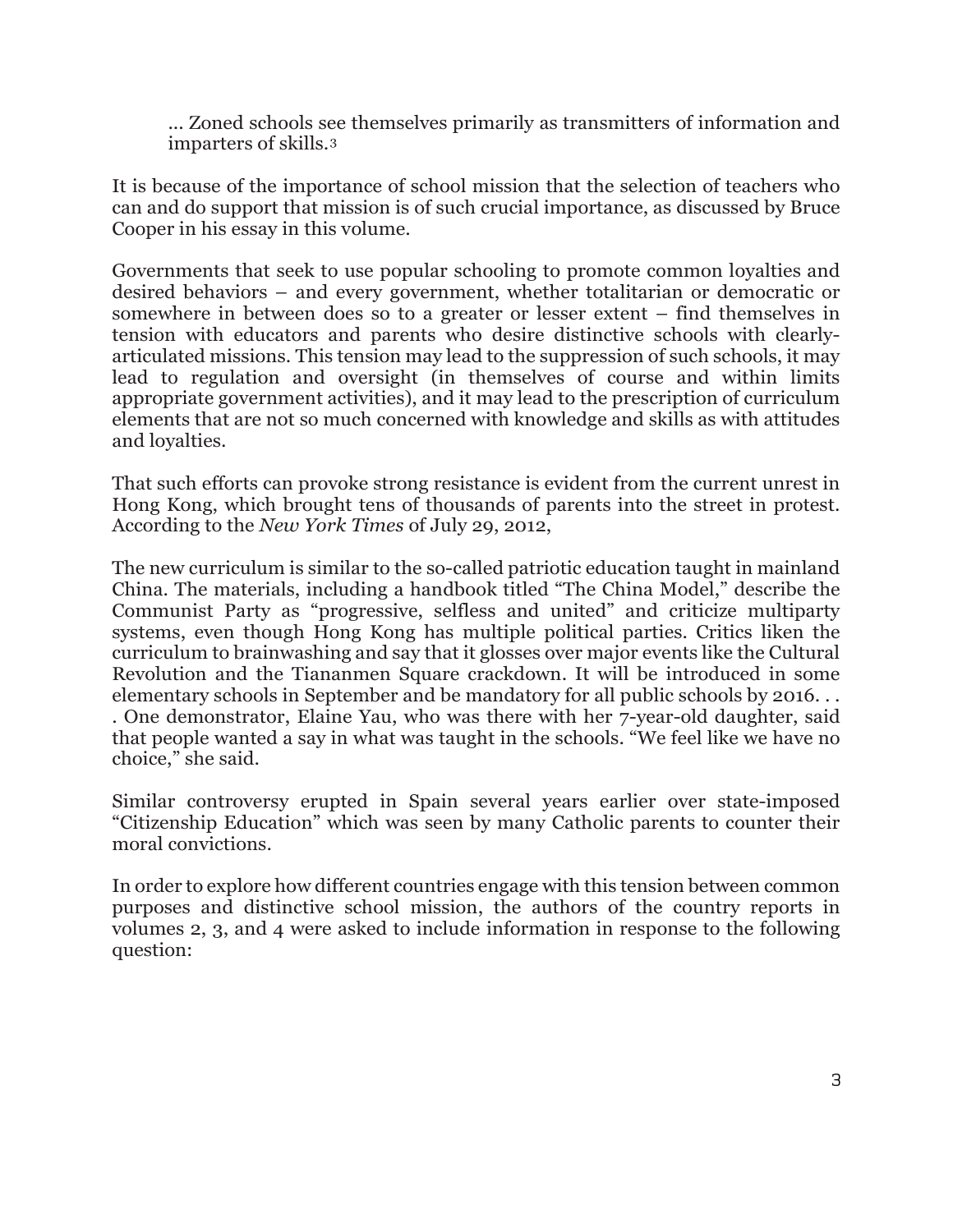... Zoned schools see themselves primarily as transmitters of information and imparters of skills.[3](#page-23-2)

It is because of the importance of school mission that the selection of teachers who can and do support that mission is of such crucial importance, as discussed by Bruce Cooper in his essay in this volume.

Governments that seek to use popular schooling to promote common loyalties and desired behaviors – and every government, whether totalitarian or democratic or somewhere in between does so to a greater or lesser extent – find themselves in tension with educators and parents who desire distinctive schools with clearlyarticulated missions. This tension may lead to the suppression of such schools, it may lead to regulation and oversight (in themselves of course and within limits appropriate government activities), and it may lead to the prescription of curriculum elements that are not so much concerned with knowledge and skills as with attitudes and loyalties.

That such efforts can provoke strong resistance is evident from the current unrest in Hong Kong, which brought tens of thousands of parents into the street in protest. According to the *New York Times* of July 29, 2012,

The new curriculum is similar to the so-called patriotic education taught in mainland China. The materials, including a handbook titled "The China Model," describe the Communist Party as "progressive, selfless and united" and criticize multiparty systems, even though Hong Kong has multiple political parties. Critics liken the curriculum to brainwashing and say that it glosses over major events like the Cultural Revolution and the Tiananmen Square crackdown. It will be introduced in some elementary schools in September and be mandatory for all public schools by 2016. . . . One demonstrator, Elaine Yau, who was there with her 7-year-old daughter, said that people wanted a say in what was taught in the schools. "We feel like we have no choice," she said.

Similar controversy erupted in Spain several years earlier over state-imposed "Citizenship Education" which was seen by many Catholic parents to counter their moral convictions.

In order to explore how different countries engage with this tension between common purposes and distinctive school mission, the authors of the country reports in volumes 2, 3, and 4 were asked to include information in response to the following question: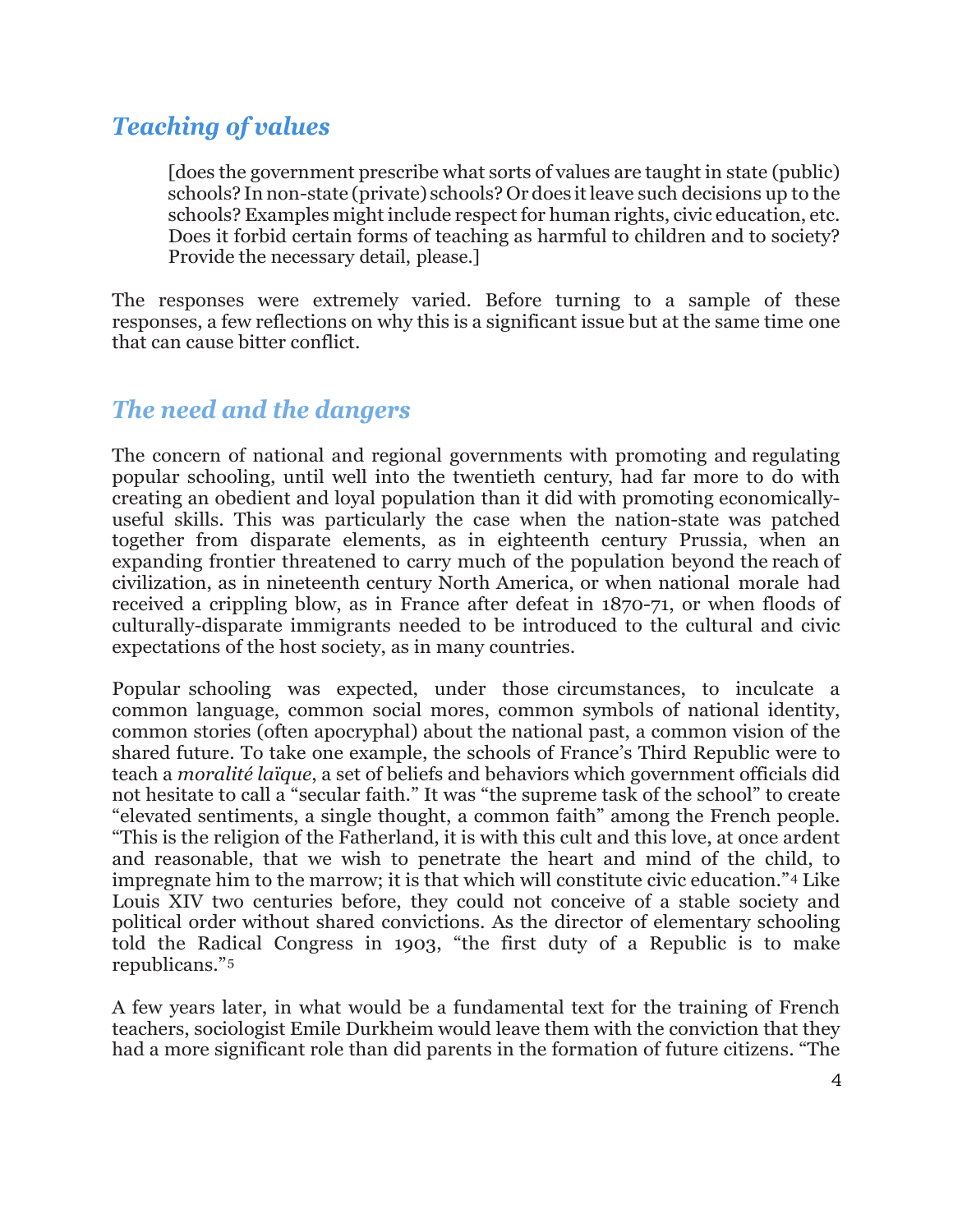## *Teaching of values*

[does the government prescribe what sorts of values are taught in state (public) schools? In non-state (private) schools? Or does itleave such decisions up to the schools? Examples might include respect for human rights, civic education, etc. Does it forbid certain forms of teaching as harmful to children and to society? Provide the necessary detail, please.]

The responses were extremely varied. Before turning to a sample of these responses, a few reflections on why this is a significant issue but at the same time one that can cause bitter conflict.

## *The need and the dangers*

The concern of national and regional governments with promoting and regulating popular schooling, until well into the twentieth century, had far more to do with creating an obedient and loyal population than it did with promoting economicallyuseful skills. This was particularly the case when the nation-state was patched together from disparate elements, as in eighteenth century Prussia, when an expanding frontier threatened to carry much of the population beyond the reach of civilization, as in nineteenth century North America, or when national morale had received a crippling blow, as in France after defeat in 1870-71, or when floods of culturally-disparate immigrants needed to be introduced to the cultural and civic expectations of the host society, as in many countries.

Popular schooling was expected, under those circumstances, to inculcate a common language, common social mores, common symbols of national identity, common stories (often apocryphal) about the national past, a common vision of the shared future. To take one example, the schools of France's Third Republic were to teach a *moralité laïque*, a set of beliefs and behaviors which government officials did not hesitate to call a "secular faith." It was "the supreme task of the school" to create "elevated sentiments, a single thought, a common faith" among the French people. "This is the religion of the Fatherland, it is with this cult and this love, at once ardent and reasonable, that we wish to penetrate the heart and mind of the child, to impregnate him to the marrow; it is that which will constitute civic education."[4](#page-23-3) Like Louis XIV two centuries before, they could not conceive of a stable society and political order without shared convictions. As the director of elementary schooling told the Radical Congress in 1903, "the first duty of a Republic is to make republicans."[5](#page-23-4)

A few years later, in what would be a fundamental text for the training of French teachers, sociologist Emile Durkheim would leave them with the conviction that they had a more significant role than did parents in the formation of future citizens. "The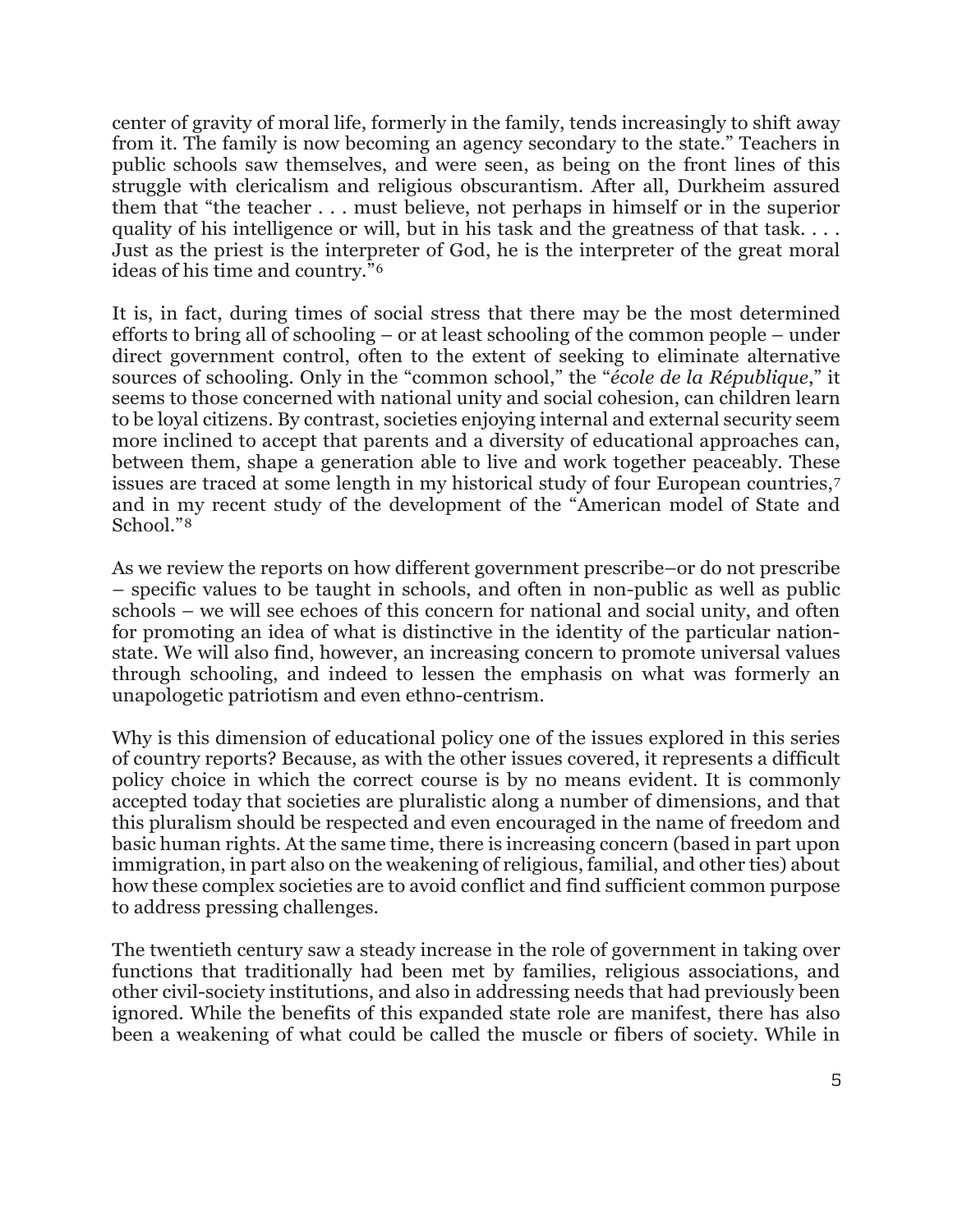center of gravity of moral life, formerly in the family, tends increasingly to shift away from it. The family is now becoming an agency secondary to the state." Teachers in public schools saw themselves, and were seen, as being on the front lines of this struggle with clericalism and religious obscurantism. After all, Durkheim assured them that "the teacher . . . must believe, not perhaps in himself or in the superior quality of his intelligence or will, but in his task and the greatness of that task. . . . Just as the priest is the interpreter of God, he is the interpreter of the great moral ideas of his time and country."[6](#page-23-5)

It is, in fact, during times of social stress that there may be the most determined efforts to bring all of schooling – or at least schooling of the common people – under direct government control, often to the extent of seeking to eliminate alternative sources of schooling. Only in the "common school," the "*école de la République*," it seems to those concerned with national unity and social cohesion, can children learn to be loyal citizens. By contrast, societies enjoying internal and external security seem more inclined to accept that parents and a diversity of educational approaches can, between them, shape a generation able to live and work together peaceably. These issues are traced at some length in my historical study of four European countries,[7](#page-23-6) and in my recent study of the development of the "American model of State and School."[8](#page-23-7)

As we review the reports on how different government prescribe–or do not prescribe – specific values to be taught in schools, and often in non-public as well as public schools – we will see echoes of this concern for national and social unity, and often for promoting an idea of what is distinctive in the identity of the particular nationstate. We will also find, however, an increasing concern to promote universal values through schooling, and indeed to lessen the emphasis on what was formerly an unapologetic patriotism and even ethno-centrism.

Why is this dimension of educational policy one of the issues explored in this series of country reports? Because, as with the other issues covered, it represents a difficult policy choice in which the correct course is by no means evident. It is commonly accepted today that societies are pluralistic along a number of dimensions, and that this pluralism should be respected and even encouraged in the name of freedom and basic human rights. At the same time, there is increasing concern (based in part upon immigration, in part also on the weakening of religious, familial, and other ties) about how these complex societies are to avoid conflict and find sufficient common purpose to address pressing challenges.

The twentieth century saw a steady increase in the role of government in taking over functions that traditionally had been met by families, religious associations, and other civil-society institutions, and also in addressing needs that had previously been ignored. While the benefits of this expanded state role are manifest, there has also been a weakening of what could be called the muscle or fibers of society. While in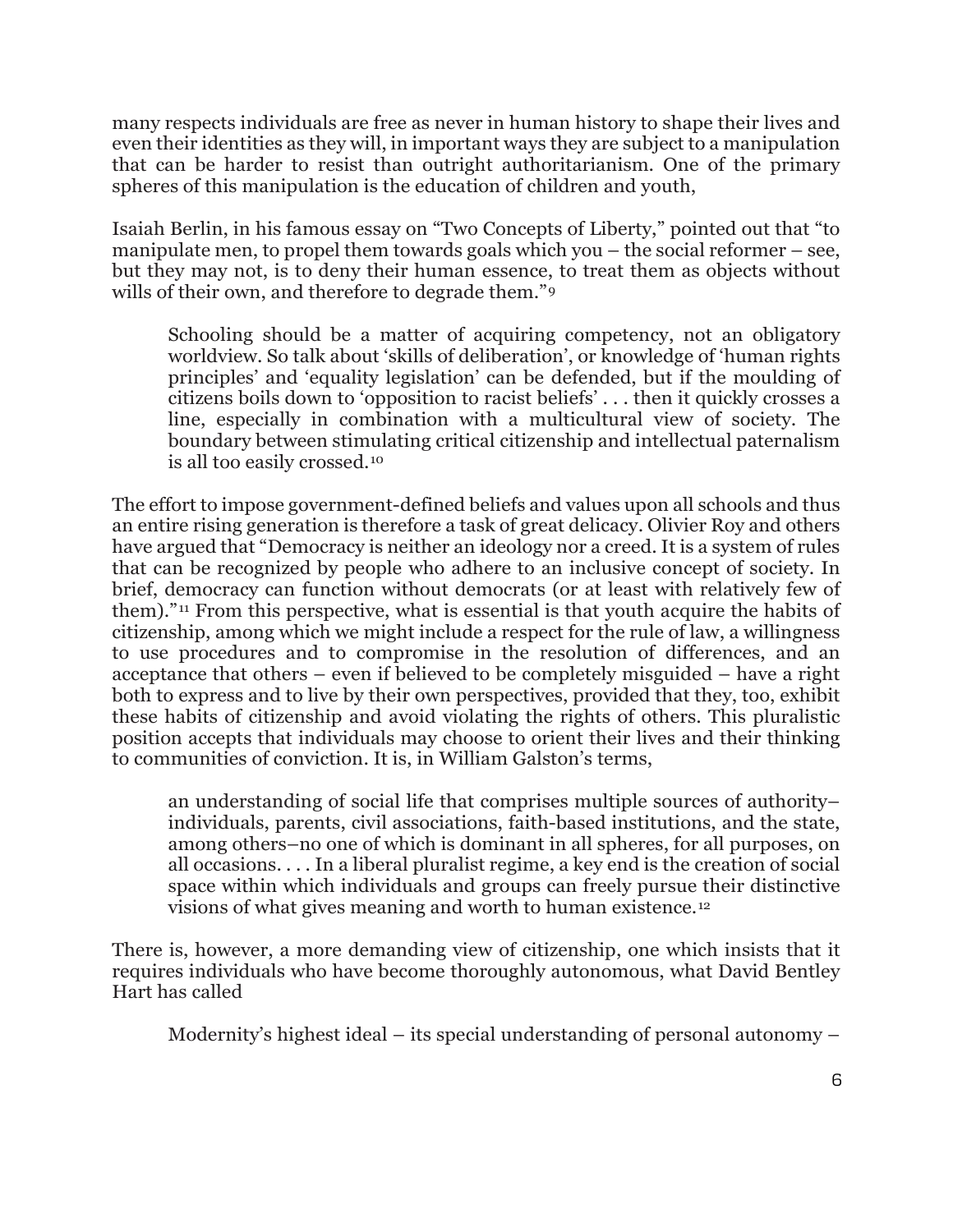many respects individuals are free as never in human history to shape their lives and even their identities as they will, in important ways they are subject to a manipulation that can be harder to resist than outright authoritarianism. One of the primary spheres of this manipulation is the education of children and youth,

Isaiah Berlin, in his famous essay on "Two Concepts of Liberty," pointed out that "to manipulate men, to propel them towards goals which you – the social reformer – see, but they may not, is to deny their human essence, to treat them as objects without wills of their own, and therefore to degrade them."<sup>[9](#page-23-8)</sup>

Schooling should be a matter of acquiring competency, not an obligatory worldview. So talk about 'skills of deliberation', or knowledge of 'human rights principles' and 'equality legislation' can be defended, but if the moulding of citizens boils down to 'opposition to racist beliefs' . . . then it quickly crosses a line, especially in combination with a multicultural view of society. The boundary between stimulating critical citizenship and intellectual paternalism is all too easily crossed.[10](#page-23-9)

The effort to impose government-defined beliefs and values upon all schools and thus an entire rising generation is therefore a task of great delicacy. Olivier Roy and others have argued that "Democracy is neither an ideology nor a creed. It is a system of rules that can be recognized by people who adhere to an inclusive concept of society. In brief, democracy can function without democrats (or at least with relatively few of them)."[11](#page-23-10) From this perspective, what is essential is that youth acquire the habits of citizenship, among which we might include a respect for the rule of law, a willingness to use procedures and to compromise in the resolution of differences, and an acceptance that others – even if believed to be completely misguided – have a right both to express and to live by their own perspectives, provided that they, too, exhibit these habits of citizenship and avoid violating the rights of others. This pluralistic position accepts that individuals may choose to orient their lives and their thinking to communities of conviction. It is, in William Galston's terms,

an understanding of social life that comprises multiple sources of authority– individuals, parents, civil associations, faith-based institutions, and the state, among others–no one of which is dominant in all spheres, for all purposes, on all occasions. . . . In a liberal pluralist regime, a key end is the creation of social space within which individuals and groups can freely pursue their distinctive visions of what gives meaning and worth to human existence.[12](#page-23-11)

There is, however, a more demanding view of citizenship, one which insists that it requires individuals who have become thoroughly autonomous, what David Bentley Hart has called

Modernity's highest ideal – its special understanding of personal autonomy –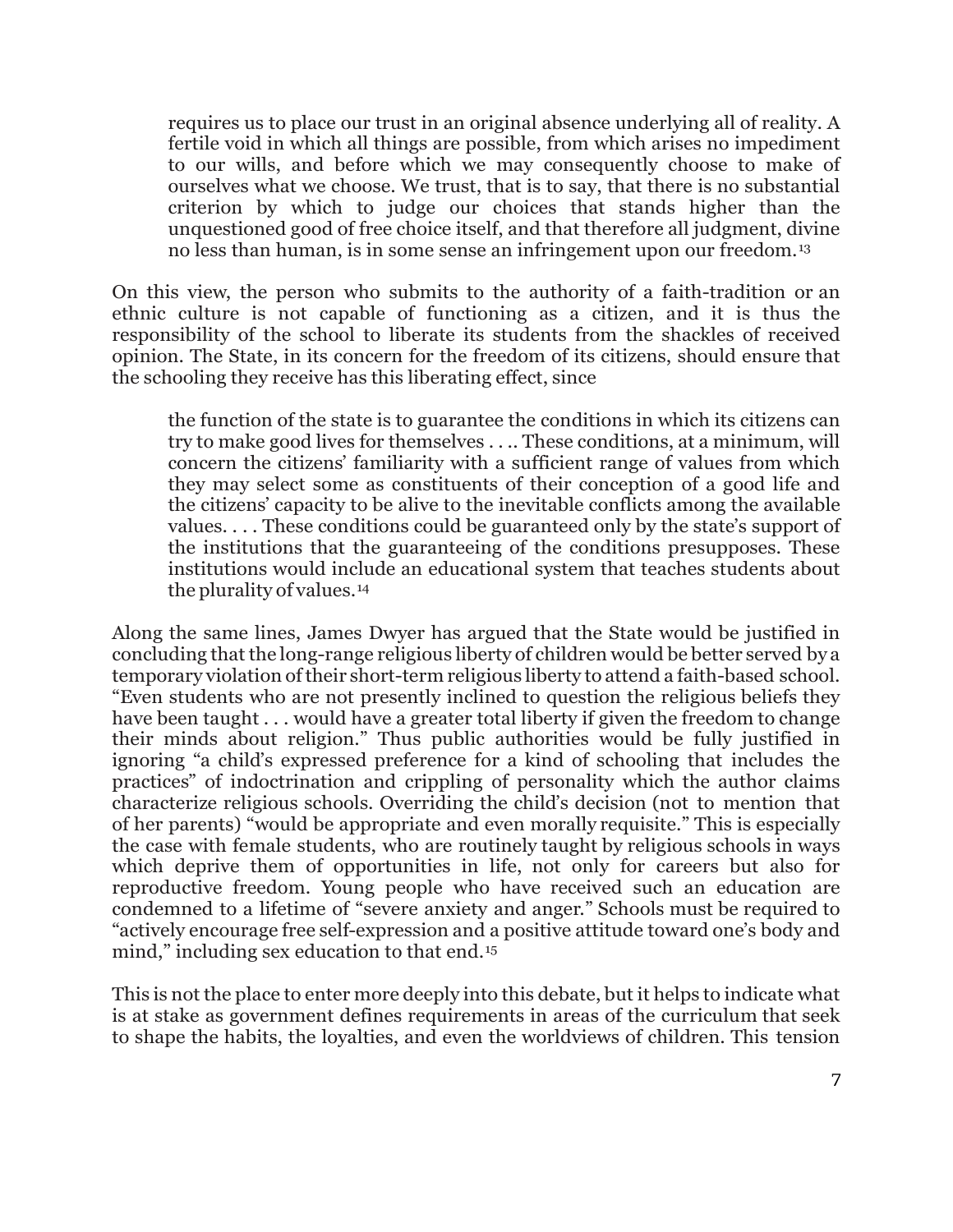requires us to place our trust in an original absence underlying all of reality. A fertile void in which all things are possible, from which arises no impediment to our wills, and before which we may consequently choose to make of ourselves what we choose. We trust, that is to say, that there is no substantial criterion by which to judge our choices that stands higher than the unquestioned good of free choice itself, and that therefore all judgment, divine no less than human, is in some sense an infringement upon our freedom.[13](#page-23-12)

On this view, the person who submits to the authority of a faith-tradition or an ethnic culture is not capable of functioning as a citizen, and it is thus the responsibility of the school to liberate its students from the shackles of received opinion. The State, in its concern for the freedom of its citizens, should ensure that the schooling they receive has this liberating effect, since

the function of the state is to guarantee the conditions in which its citizens can try to make good lives for themselves . . .. These conditions, at a minimum, will concern the citizens' familiarity with a sufficient range of values from which they may select some as constituents of their conception of a good life and the citizens' capacity to be alive to the inevitable conflicts among the available values. . . . These conditions could be guaranteed only by the state's support of the institutions that the guaranteeing of the conditions presupposes. These institutions would include an educational system that teaches students about the plurality of values.[14](#page-23-13)

Along the same lines, James Dwyer has argued that the State would be justified in concluding that the long-range religious liberty of children would be better served by a temporary violation oftheir short-term religious liberty to attend a faith-based school. "Even students who are not presently inclined to question the religious beliefs they have been taught . . . would have a greater total liberty if given the freedom to change their minds about religion." Thus public authorities would be fully justified in ignoring "a child's expressed preference for a kind of schooling that includes the practices" of indoctrination and crippling of personality which the author claims characterize religious schools. Overriding the child's decision (not to mention that of her parents) "would be appropriate and even morally requisite." This is especially the case with female students, who are routinely taught by religious schools in ways which deprive them of opportunities in life, not only for careers but also for reproductive freedom. Young people who have received such an education are condemned to a lifetime of "severe anxiety and anger." Schools must be required to "actively encourage free self-expression and a positive attitude toward one's body and mind," including sex education to that end.<sup>[15](#page-23-14)</sup>

This is not the place to enter more deeply into this debate, but it helps to indicate what is at stake as government defines requirements in areas of the curriculum that seek to shape the habits, the loyalties, and even the worldviews of children. This tension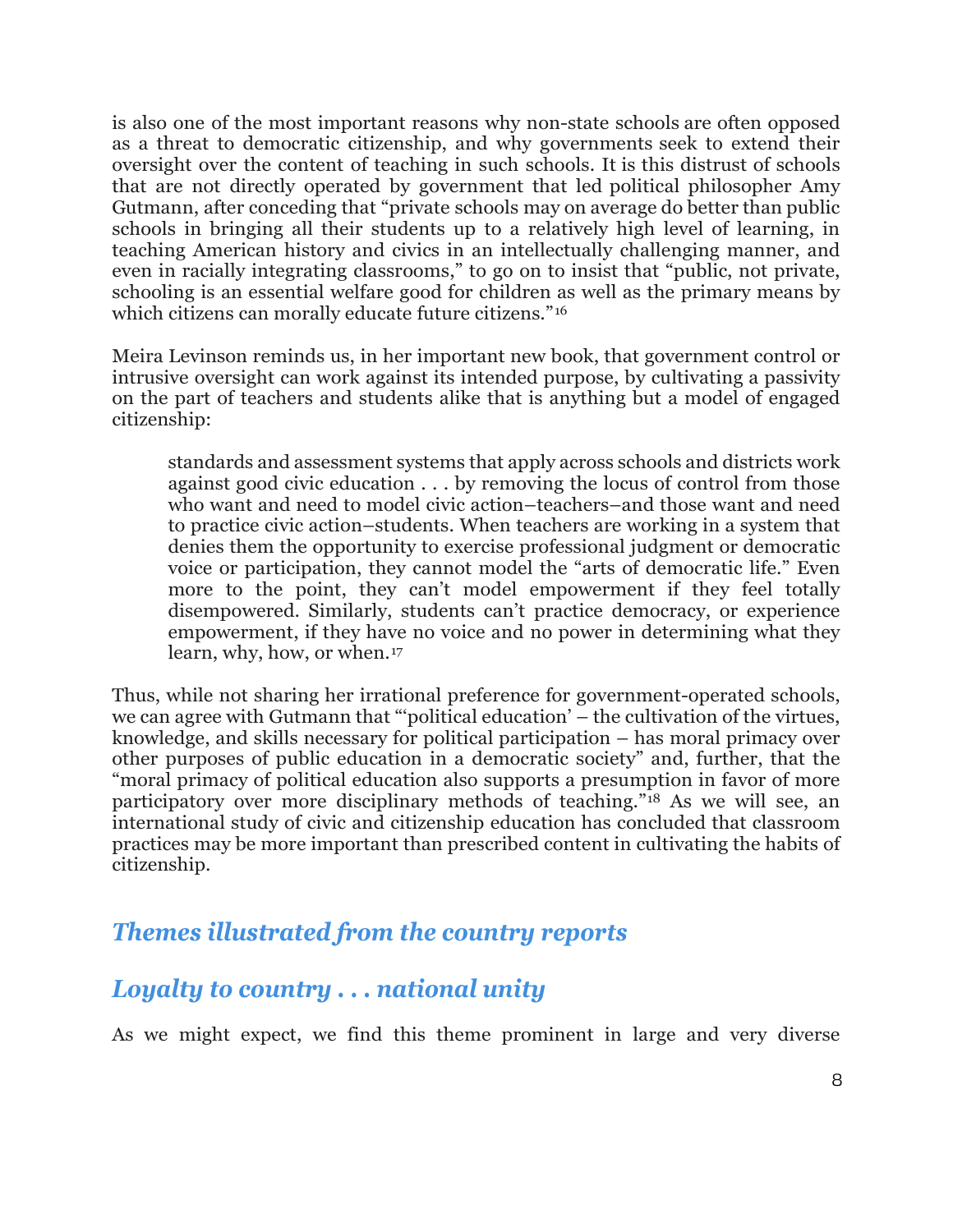is also one of the most important reasons why non-state schools are often opposed as a threat to democratic citizenship, and why governments seek to extend their oversight over the content of teaching in such schools. It is this distrust of schools that are not directly operated by government that led political philosopher Amy Gutmann, after conceding that "private schools may on average do better than public schools in bringing all their students up to a relatively high level of learning, in teaching American history and civics in an intellectually challenging manner, and even in racially integrating classrooms," to go on to insist that "public, not private, schooling is an essential welfare good for children as well as the primary means by which citizens can morally educate future citizens."<sup>[16](#page-23-15)</sup>

Meira Levinson reminds us, in her important new book, that government control or intrusive oversight can work against its intended purpose, by cultivating a passivity on the part of teachers and students alike that is anything but a model of engaged citizenship:

standards and assessment systems that apply across schools and districts work against good civic education . . . by removing the locus of control from those who want and need to model civic action–teachers–and those want and need to practice civic action–students. When teachers are working in a system that denies them the opportunity to exercise professional judgment or democratic voice or participation, they cannot model the "arts of democratic life." Even more to the point, they can't model empowerment if they feel totally disempowered. Similarly, students can't practice democracy, or experience empowerment, if they have no voice and no power in determining what they learn, why, how, or when.[17](#page-23-16)

Thus, while not sharing her irrational preference for government-operated schools, we can agree with Gutmann that "'political education' – the cultivation of the virtues, knowledge, and skills necessary for political participation – has moral primacy over other purposes of public education in a democratic society" and, further, that the "moral primacy of political education also supports a presumption in favor of more participatory over more disciplinary methods of teaching."[18](#page-23-17) As we will see, an international study of civic and citizenship education has concluded that classroom practices may be more important than prescribed content in cultivating the habits of citizenship.

#### *Themes illustrated from the country reports*

## *Loyalty to country . . . national unity*

As we might expect, we find this theme prominent in large and very diverse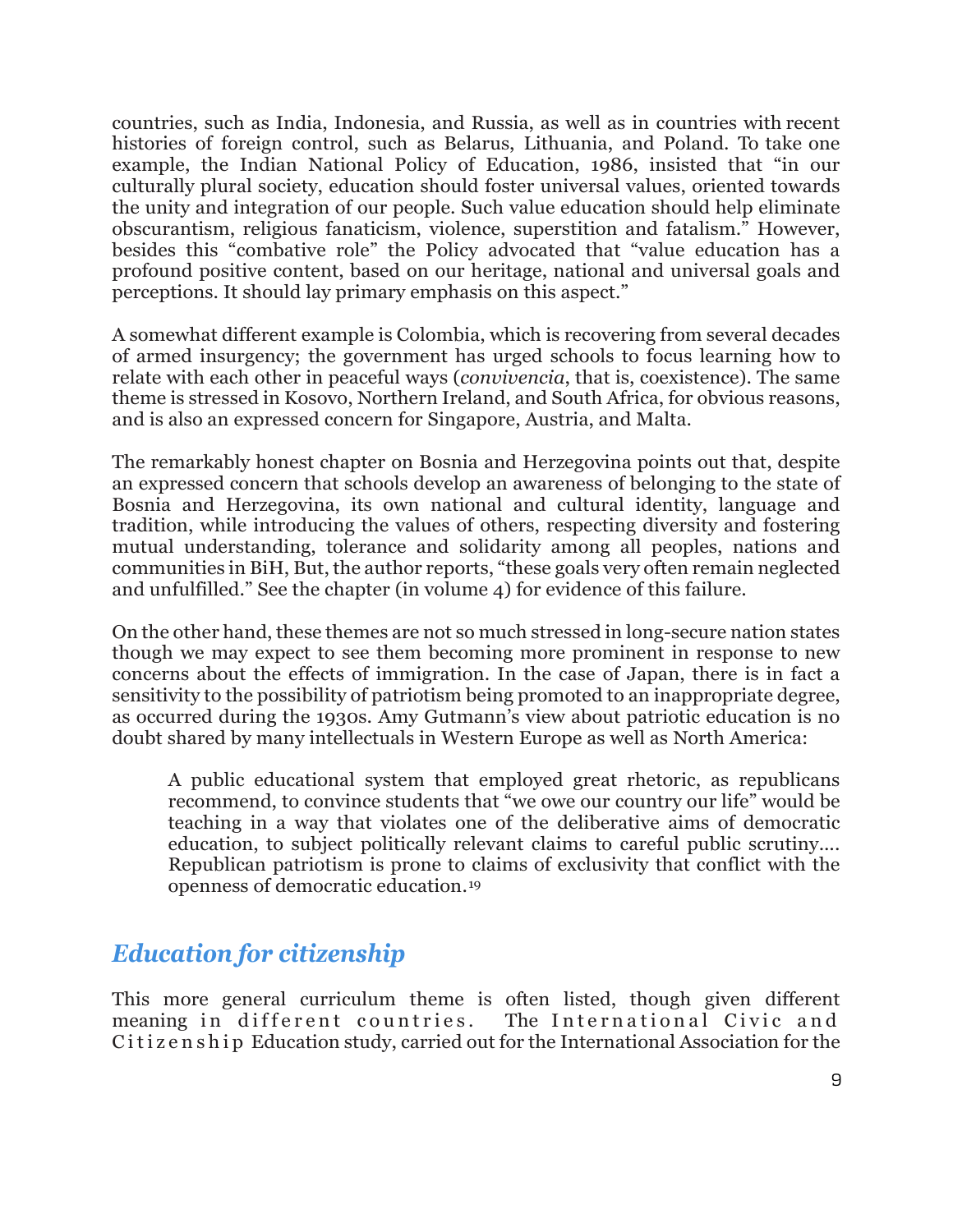countries, such as India, Indonesia, and Russia, as well as in countries with recent histories of foreign control, such as Belarus, Lithuania, and Poland. To take one example, the Indian National Policy of Education, 1986, insisted that "in our culturally plural society, education should foster universal values, oriented towards the unity and integration of our people. Such value education should help eliminate obscurantism, religious fanaticism, violence, superstition and fatalism." However, besides this "combative role" the Policy advocated that "value education has a profound positive content, based on our heritage, national and universal goals and perceptions. It should lay primary emphasis on this aspect."

A somewhat different example is Colombia, which is recovering from several decades of armed insurgency; the government has urged schools to focus learning how to relate with each other in peaceful ways (*convivencia*, that is, coexistence). The same theme is stressed in Kosovo, Northern Ireland, and South Africa, for obvious reasons, and is also an expressed concern for Singapore, Austria, and Malta.

The remarkably honest chapter on Bosnia and Herzegovina points out that, despite an expressed concern that schools develop an awareness of belonging to the state of Bosnia and Herzegovina, its own national and cultural identity, language and tradition, while introducing the values of others, respecting diversity and fostering mutual understanding, tolerance and solidarity among all peoples, nations and communities in BiH, But, the author reports, "these goals very often remain neglected and unfulfilled." See the chapter (in volume 4) for evidence of this failure.

On the other hand, these themes are not so much stressed in long-secure nation states though we may expect to see them becoming more prominent in response to new concerns about the effects of immigration. In the case of Japan, there is in fact a sensitivity to the possibility of patriotism being promoted to an inappropriate degree, as occurred during the 1930s. Amy Gutmann's view about patriotic education is no doubt shared by many intellectuals in Western Europe as well as North America:

A public educational system that employed great rhetoric, as republicans recommend, to convince students that "we owe our country our life" would be teaching in a way that violates one of the deliberative aims of democratic education, to subject politically relevant claims to careful public scrutiny.... Republican patriotism is prone to claims of exclusivity that conflict with the openness of democratic education.[19](#page-23-18)

## *Education for citizenship*

This more general curriculum theme is often listed, though given different meaning in different countries. The International Civic and meaning in different countries. Citizenship Education study, carried out for the International Association for the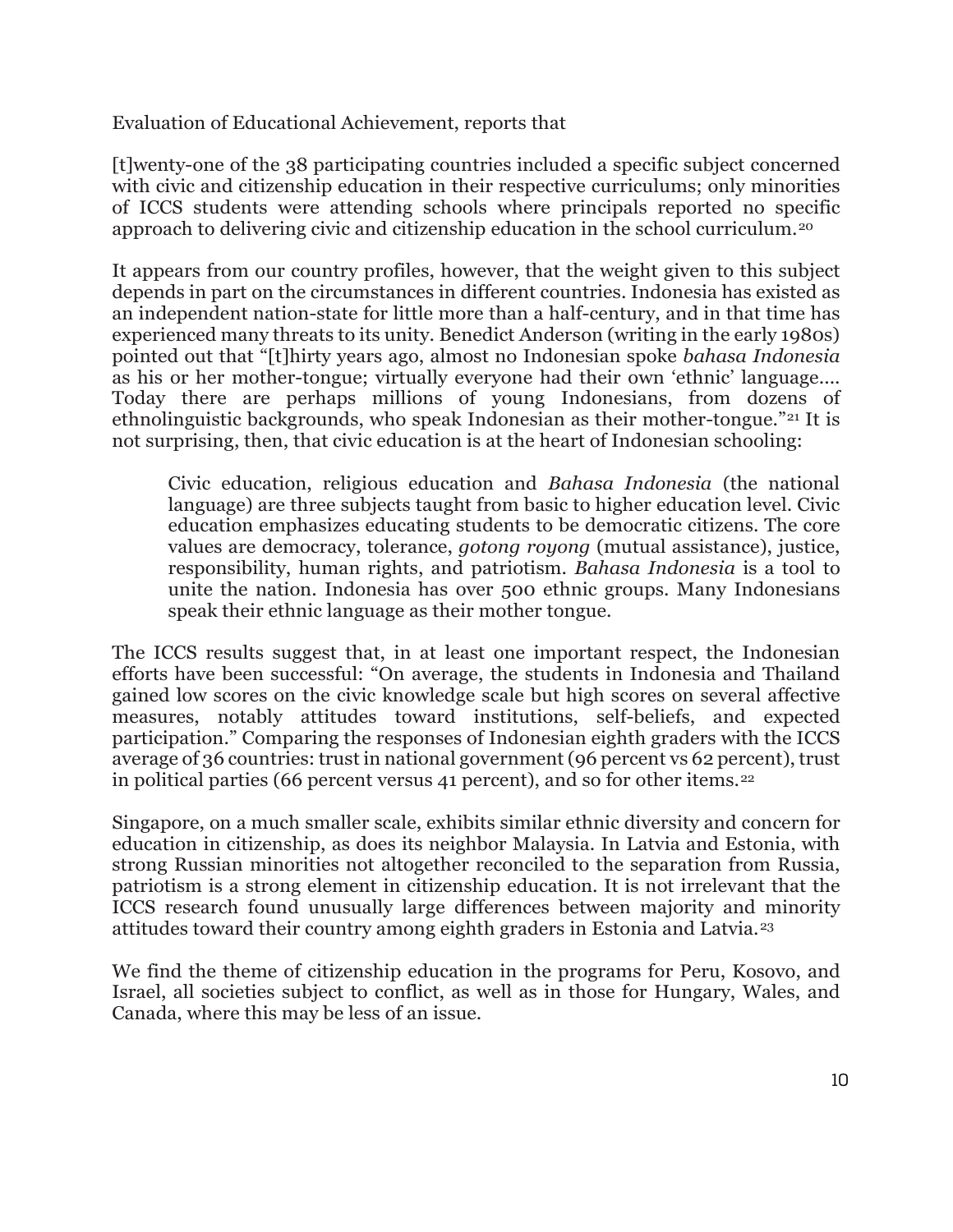Evaluation of Educational Achievement, reports that

[t]wenty-one of the 38 participating countries included a specific subject concerned with civic and citizenship education in their respective curriculums; only minorities of ICCS students were attending schools where principals reported no specific approach to delivering civic and citizenship education in the school curriculum.[20](#page-23-19)

It appears from our country profiles, however, that the weight given to this subject depends in part on the circumstances in different countries. Indonesia has existed as an independent nation-state for little more than a half-century, and in that time has experienced many threats to its unity. Benedict Anderson (writing in the early 1980s) pointed out that "[t]hirty years ago, almost no Indonesian spoke *bahasa Indonesia*  as his or her mother-tongue; virtually everyone had their own 'ethnic' language.... Today there are perhaps millions of young Indonesians, from dozens of ethnolinguistic backgrounds, who speak Indonesian as their mother-tongue."[21](#page-23-20) It is not surprising, then, that civic education is at the heart of Indonesian schooling:

Civic education, religious education and *Bahasa Indonesia* (the national language) are three subjects taught from basic to higher education level. Civic education emphasizes educating students to be democratic citizens. The core values are democracy, tolerance, *gotong royong* (mutual assistance), justice, responsibility, human rights, and patriotism. *Bahasa Indonesia* is a tool to unite the nation. Indonesia has over 500 ethnic groups. Many Indonesians speak their ethnic language as their mother tongue.

The ICCS results suggest that, in at least one important respect, the Indonesian efforts have been successful: "On average, the students in Indonesia and Thailand gained low scores on the civic knowledge scale but high scores on several affective measures, notably attitudes toward institutions, self-beliefs, and expected participation." Comparing the responses of Indonesian eighth graders with the ICCS average of 36 countries: trust in national government (96 percent vs 62 percent), trust in political parties (66 percent versus 41 percent), and so for other items.[22](#page-24-0)

Singapore, on a much smaller scale, exhibits similar ethnic diversity and concern for education in citizenship, as does its neighbor Malaysia. In Latvia and Estonia, with strong Russian minorities not altogether reconciled to the separation from Russia, patriotism is a strong element in citizenship education. It is not irrelevant that the ICCS research found unusually large differences between majority and minority attitudes toward their country among eighth graders in Estonia and Latvia.[23](#page-24-1)

We find the theme of citizenship education in the programs for Peru, Kosovo, and Israel, all societies subject to conflict, as well as in those for Hungary, Wales, and Canada, where this may be less of an issue.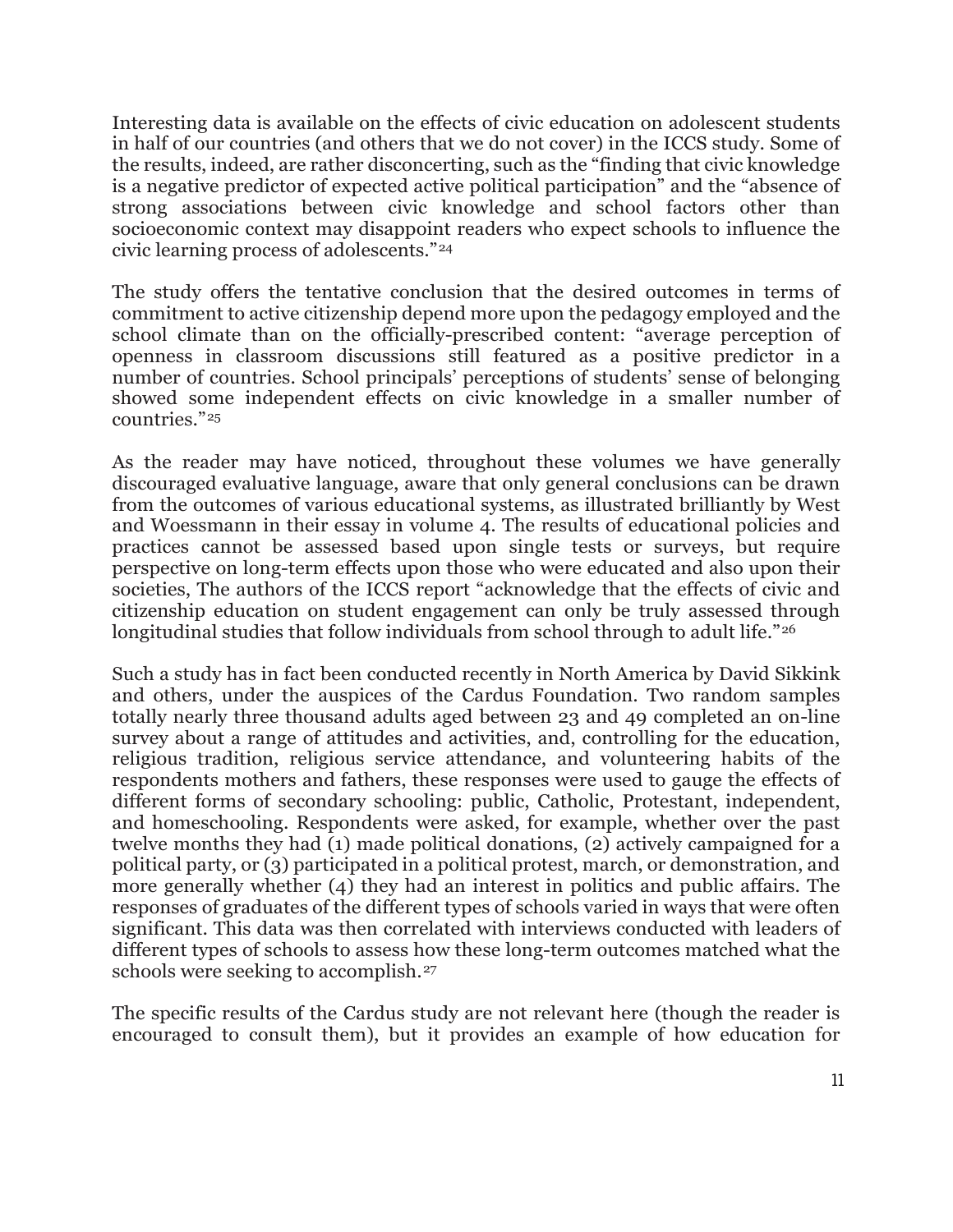Interesting data is available on the effects of civic education on adolescent students in half of our countries (and others that we do not cover) in the ICCS study. Some of the results, indeed, are rather disconcerting, such as the "finding that civic knowledge is a negative predictor of expected active political participation" and the "absence of strong associations between civic knowledge and school factors other than socioeconomic context may disappoint readers who expect schools to influence the civic learning process of adolescents."[24](#page-24-2)

The study offers the tentative conclusion that the desired outcomes in terms of commitment to active citizenship depend more upon the pedagogy employed and the school climate than on the officially-prescribed content: "average perception of openness in classroom discussions still featured as a positive predictor in a number of countries. School principals' perceptions of students' sense of belonging showed some independent effects on civic knowledge in a smaller number of countries."[25](#page-24-3)

As the reader may have noticed, throughout these volumes we have generally discouraged evaluative language, aware that only general conclusions can be drawn from the outcomes of various educational systems, as illustrated brilliantly by West and Woessmann in their essay in volume 4. The results of educational policies and practices cannot be assessed based upon single tests or surveys, but require perspective on long-term effects upon those who were educated and also upon their societies, The authors of the ICCS report "acknowledge that the effects of civic and citizenship education on student engagement can only be truly assessed through longitudinal studies that follow individuals from school through to adult life."<sup>[26](#page-24-4)</sup>

Such a study has in fact been conducted recently in North America by David Sikkink and others, under the auspices of the Cardus Foundation. Two random samples totally nearly three thousand adults aged between 23 and 49 completed an on-line survey about a range of attitudes and activities, and, controlling for the education, religious tradition, religious service attendance, and volunteering habits of the respondents mothers and fathers, these responses were used to gauge the effects of different forms of secondary schooling: public, Catholic, Protestant, independent, and homeschooling. Respondents were asked, for example, whether over the past twelve months they had (1) made political donations, (2) actively campaigned for a political party, or (3) participated in a political protest, march, or demonstration, and more generally whether (4) they had an interest in politics and public affairs. The responses of graduates of the different types of schools varied in ways that were often significant. This data was then correlated with interviews conducted with leaders of different types of schools to assess how these long-term outcomes matched what the schools were seeking to accomplish.<sup>[27](#page-24-5)</sup>

The specific results of the Cardus study are not relevant here (though the reader is encouraged to consult them), but it provides an example of how education for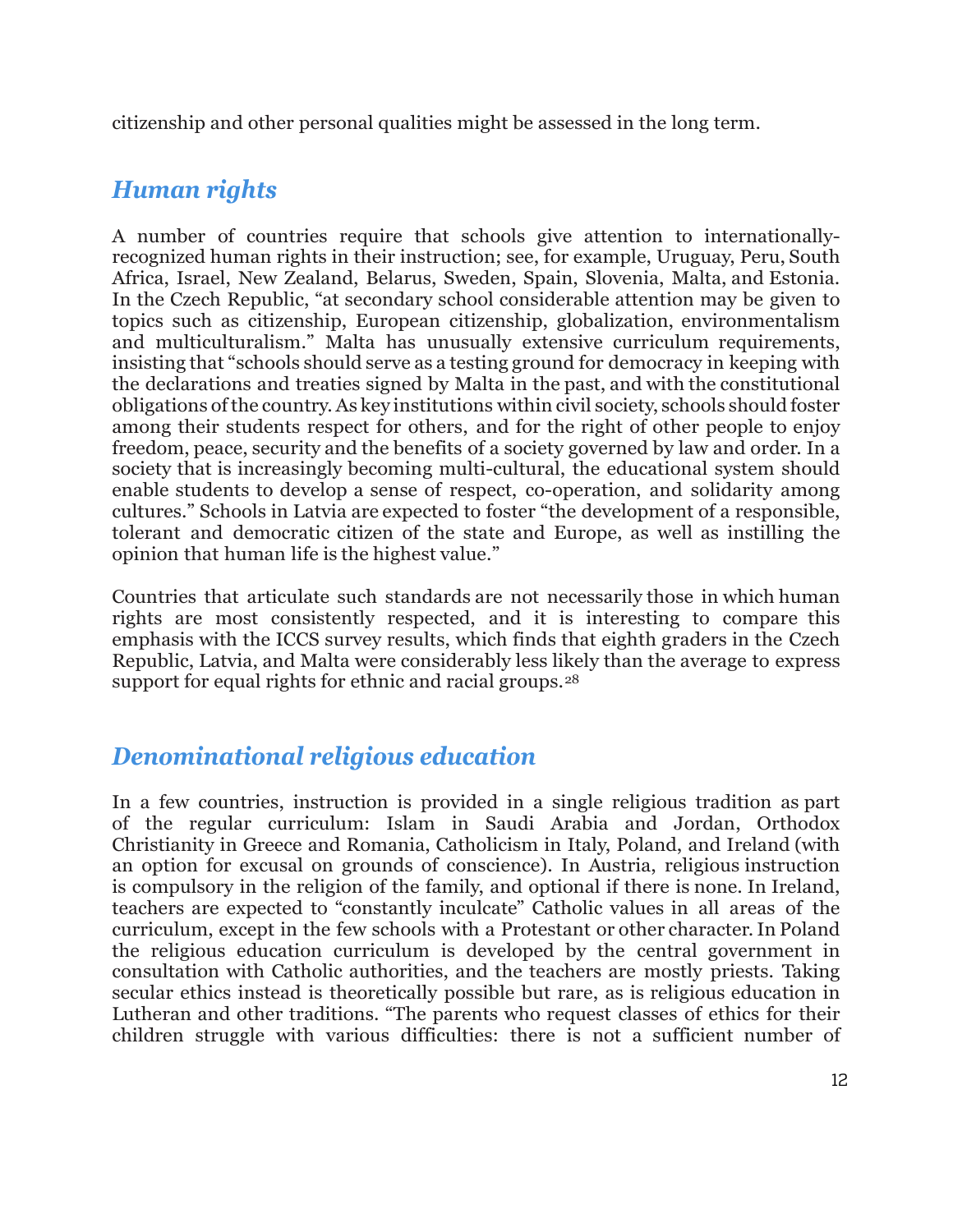citizenship and other personal qualities might be assessed in the long term.

# *Human rights*

A number of countries require that schools give attention to internationallyrecognized human rights in their instruction; see, for example, Uruguay, Peru, South Africa, Israel, New Zealand, Belarus, Sweden, Spain, Slovenia, Malta, and Estonia. In the Czech Republic, "at secondary school considerable attention may be given to topics such as citizenship, European citizenship, globalization, environmentalism and multiculturalism." Malta has unusually extensive curriculum requirements, insisting that "schools should serve as a testing ground for democracy in keeping with the declarations and treaties signed by Malta in the past, and with the constitutional obligations ofthe country.As key institutions within civil society, schools should foster among their students respect for others, and for the right of other people to enjoy freedom, peace, security and the benefits of a society governed by law and order. In a society that is increasingly becoming multi-cultural, the educational system should enable students to develop a sense of respect, co-operation, and solidarity among cultures." Schools in Latvia are expected to foster "the development of a responsible, tolerant and democratic citizen of the state and Europe, as well as instilling the opinion that human life is the highest value."

Countries that articulate such standards are not necessarily those in which human rights are most consistently respected, and it is interesting to compare this emphasis with the ICCS survey results, which finds that eighth graders in the Czech Republic, Latvia, and Malta were considerably less likely than the average to express support for equal rights for ethnic and racial groups.<sup>[28](#page-24-6)</sup>

## *Denominational religious education*

In a few countries, instruction is provided in a single religious tradition as part of the regular curriculum: Islam in Saudi Arabia and Jordan, Orthodox Christianity in Greece and Romania, Catholicism in Italy, Poland, and Ireland (with an option for excusal on grounds of conscience). In Austria, religious instruction is compulsory in the religion of the family, and optional if there is none. In Ireland, teachers are expected to "constantly inculcate" Catholic values in all areas of the curriculum, except in the few schools with a Protestant or other character.In Poland the religious education curriculum is developed by the central government in consultation with Catholic authorities, and the teachers are mostly priests. Taking secular ethics instead is theoretically possible but rare, as is religious education in Lutheran and other traditions. "The parents who request classes of ethics for their children struggle with various difficulties: there is not a sufficient number of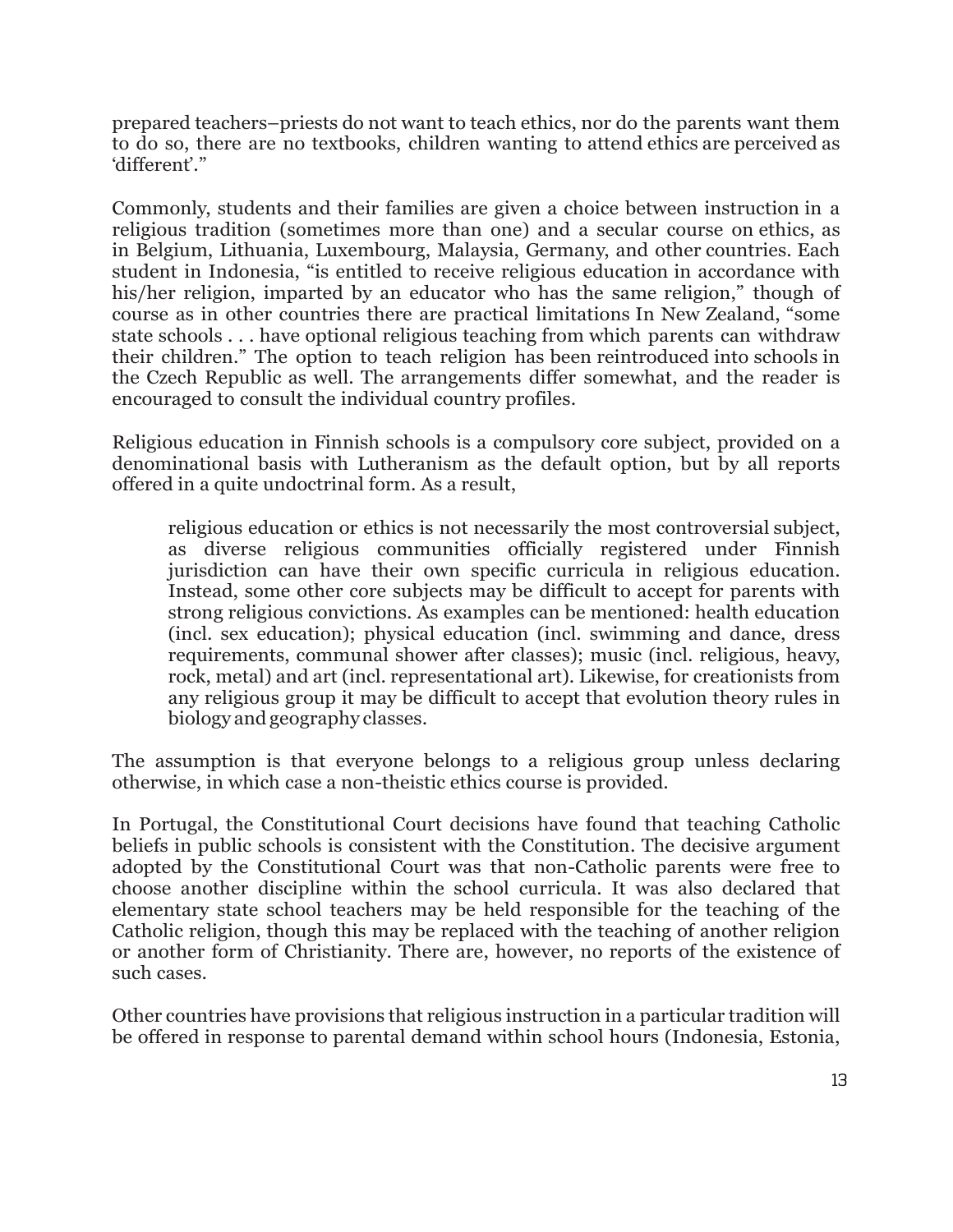prepared teachers–priests do not want to teach ethics, nor do the parents want them to do so, there are no textbooks, children wanting to attend ethics are perceived as 'different'."

Commonly, students and their families are given a choice between instruction in a religious tradition (sometimes more than one) and a secular course on ethics, as in Belgium, Lithuania, Luxembourg, Malaysia, Germany, and other countries. Each student in Indonesia, "is entitled to receive religious education in accordance with his/her religion, imparted by an educator who has the same religion," though of course as in other countries there are practical limitations In New Zealand, "some state schools . . . have optional religious teaching from which parents can withdraw their children." The option to teach religion has been reintroduced into schools in the Czech Republic as well. The arrangements differ somewhat, and the reader is encouraged to consult the individual country profiles.

Religious education in Finnish schools is a compulsory core subject, provided on a denominational basis with Lutheranism as the default option, but by all reports offered in a quite undoctrinal form. As a result,

religious education or ethics is not necessarily the most controversial subject, as diverse religious communities officially registered under Finnish jurisdiction can have their own specific curricula in religious education. Instead, some other core subjects may be difficult to accept for parents with strong religious convictions. As examples can be mentioned: health education (incl. sex education); physical education (incl. swimming and dance, dress requirements, communal shower after classes); music (incl. religious, heavy, rock, metal) and art (incl. representational art). Likewise, for creationists from any religious group it may be difficult to accept that evolution theory rules in biology and geography classes.

The assumption is that everyone belongs to a religious group unless declaring otherwise, in which case a non-theistic ethics course is provided.

In Portugal, the Constitutional Court decisions have found that teaching Catholic beliefs in public schools is consistent with the Constitution. The decisive argument adopted by the Constitutional Court was that non-Catholic parents were free to choose another discipline within the school curricula. It was also declared that elementary state school teachers may be held responsible for the teaching of the Catholic religion, though this may be replaced with the teaching of another religion or another form of Christianity. There are, however, no reports of the existence of such cases.

Other countries have provisions that religious instruction in a particular tradition will be offered in response to parental demand within school hours (Indonesia, Estonia,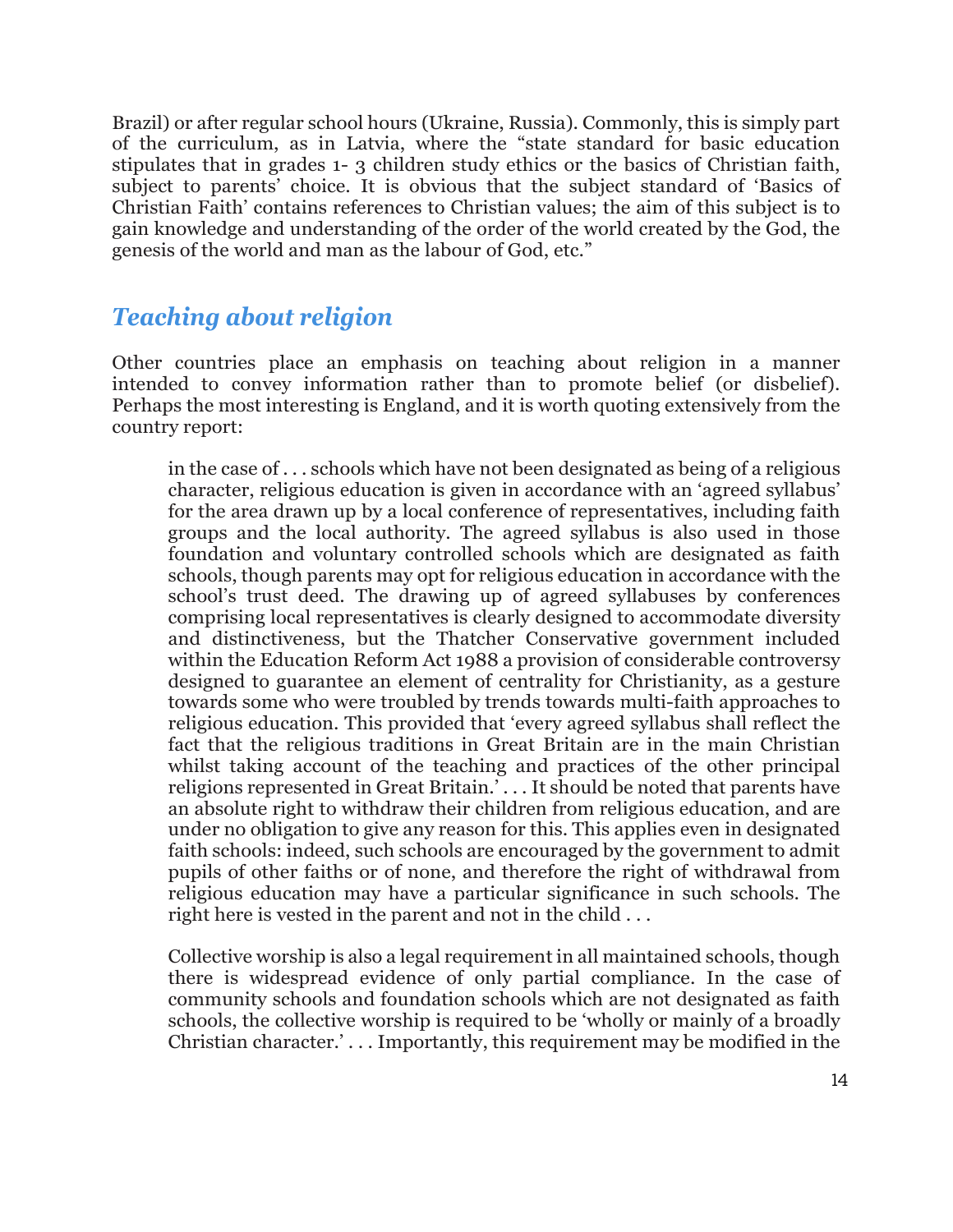Brazil) or after regular school hours (Ukraine, Russia). Commonly, this is simply part of the curriculum, as in Latvia, where the "state standard for basic education stipulates that in grades 1- 3 children study ethics or the basics of Christian faith, subject to parents' choice. It is obvious that the subject standard of 'Basics of Christian Faith' contains references to Christian values; the aim of this subject is to gain knowledge and understanding of the order of the world created by the God, the genesis of the world and man as the labour of God, etc."

## *Teaching about religion*

Other countries place an emphasis on teaching about religion in a manner intended to convey information rather than to promote belief (or disbelief). Perhaps the most interesting is England, and it is worth quoting extensively from the country report:

in the case of . . . schools which have not been designated as being of a religious character, religious education is given in accordance with an 'agreed syllabus' for the area drawn up by a local conference of representatives, including faith groups and the local authority. The agreed syllabus is also used in those foundation and voluntary controlled schools which are designated as faith schools, though parents may opt for religious education in accordance with the school's trust deed. The drawing up of agreed syllabuses by conferences comprising local representatives is clearly designed to accommodate diversity and distinctiveness, but the Thatcher Conservative government included within the Education Reform Act 1988 a provision of considerable controversy designed to guarantee an element of centrality for Christianity, as a gesture towards some who were troubled by trends towards multi-faith approaches to religious education. This provided that 'every agreed syllabus shall reflect the fact that the religious traditions in Great Britain are in the main Christian whilst taking account of the teaching and practices of the other principal religions represented in Great Britain.' . . . It should be noted that parents have an absolute right to withdraw their children from religious education, and are under no obligation to give any reason for this. This applies even in designated faith schools: indeed, such schools are encouraged by the government to admit pupils of other faiths or of none, and therefore the right of withdrawal from religious education may have a particular significance in such schools. The right here is vested in the parent and not in the child . . .

Collective worship is also a legal requirement in all maintained schools, though there is widespread evidence of only partial compliance. In the case of community schools and foundation schools which are not designated as faith schools, the collective worship is required to be 'wholly or mainly of a broadly Christian character.' . . . Importantly, this requirement may be modified in the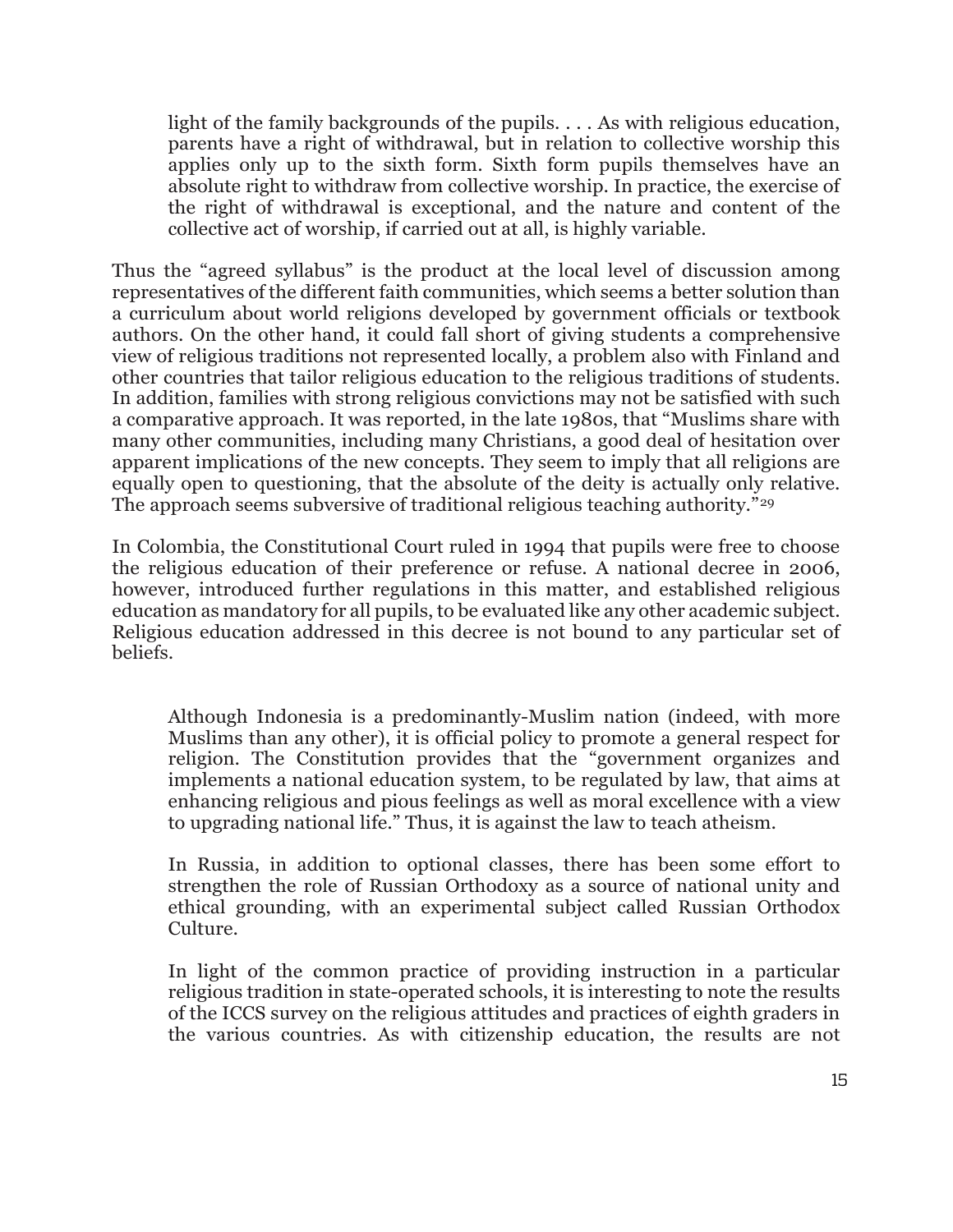light of the family backgrounds of the pupils. . . . As with religious education, parents have a right of withdrawal, but in relation to collective worship this applies only up to the sixth form. Sixth form pupils themselves have an absolute right to withdraw from collective worship. In practice, the exercise of the right of withdrawal is exceptional, and the nature and content of the collective act of worship, if carried out at all, is highly variable.

Thus the "agreed syllabus" is the product at the local level of discussion among representatives of the different faith communities, which seems a better solution than a curriculum about world religions developed by government officials or textbook authors. On the other hand, it could fall short of giving students a comprehensive view of religious traditions not represented locally, a problem also with Finland and other countries that tailor religious education to the religious traditions of students. In addition, families with strong religious convictions may not be satisfied with such a comparative approach. It was reported, in the late 1980s, that "Muslims share with many other communities, including many Christians, a good deal of hesitation over apparent implications of the new concepts. They seem to imply that all religions are equally open to questioning, that the absolute of the deity is actually only relative. The approach seems subversive of traditional religious teaching authority."<sup>[29](#page-24-7)</sup>

In Colombia, the Constitutional Court ruled in 1994 that pupils were free to choose the religious education of their preference or refuse. A national decree in 2006, however, introduced further regulations in this matter, and established religious education as mandatory for all pupils, to be evaluated like any other academic subject. Religious education addressed in this decree is not bound to any particular set of beliefs.

Although Indonesia is a predominantly-Muslim nation (indeed, with more Muslims than any other), it is official policy to promote a general respect for religion. The Constitution provides that the "government organizes and implements a national education system, to be regulated by law, that aims at enhancing religious and pious feelings as well as moral excellence with a view to upgrading national life." Thus, it is against the law to teach atheism.

In Russia, in addition to optional classes, there has been some effort to strengthen the role of Russian Orthodoxy as a source of national unity and ethical grounding, with an experimental subject called Russian Orthodox Culture.

In light of the common practice of providing instruction in a particular religious tradition in state-operated schools, it is interesting to note the results of the ICCS survey on the religious attitudes and practices of eighth graders in the various countries. As with citizenship education, the results are not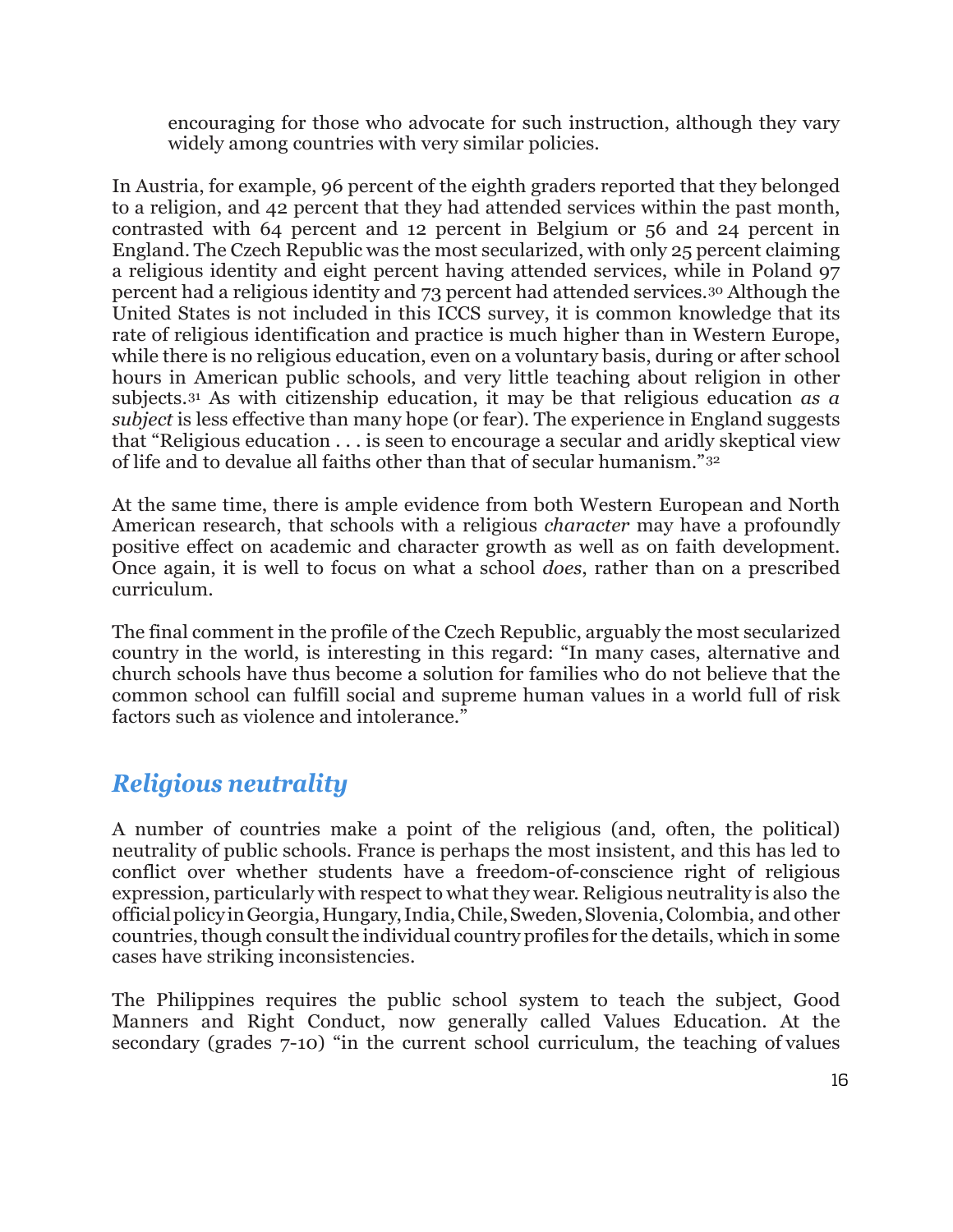encouraging for those who advocate for such instruction, although they vary widely among countries with very similar policies.

In Austria, for example, 96 percent of the eighth graders reported that they belonged to a religion, and 42 percent that they had attended services within the past month, contrasted with 64 percent and 12 percent in Belgium or 56 and 24 percent in England. The Czech Republic was the most secularized, with only 25 percent claiming a religious identity and eight percent having attended services, while in Poland 97 percent had a religious identity and 73 percent had attended services.[30](#page-24-8) Although the United States is not included in this ICCS survey, it is common knowledge that its rate of religious identification and practice is much higher than in Western Europe, while there is no religious education, even on a voluntary basis, during or after school hours in American public schools, and very little teaching about religion in other subjects.[31](#page-24-9) As with citizenship education, it may be that religious education *as a subject* is less effective than many hope (or fear). The experience in England suggests that "Religious education . . . is seen to encourage a secular and aridly skeptical view of life and to devalue all faiths other than that of secular humanism."[32](#page-24-10)

At the same time, there is ample evidence from both Western European and North American research, that schools with a religious *character* may have a profoundly positive effect on academic and character growth as well as on faith development. Once again, it is well to focus on what a school *does*, rather than on a prescribed curriculum.

The final comment in the profile of the Czech Republic, arguably the most secularized country in the world, is interesting in this regard: "In many cases, alternative and church schools have thus become a solution for families who do not believe that the common school can fulfill social and supreme human values in a world full of risk factors such as violence and intolerance."

# *Religious neutrality*

A number of countries make a point of the religious (and, often, the political) neutrality of public schools. France is perhaps the most insistent, and this has led to conflict over whether students have a freedom-of-conscience right of religious expression, particularly with respect to what they wear. Religious neutrality is also the officialpolicyinGeorgia,Hungary,India,Chile,Sweden,Slovenia,Colombia, and other countries, though consult the individual country profiles for the details, which in some cases have striking inconsistencies.

The Philippines requires the public school system to teach the subject, Good Manners and Right Conduct, now generally called Values Education. At the secondary (grades 7-10) "in the current school curriculum, the teaching of values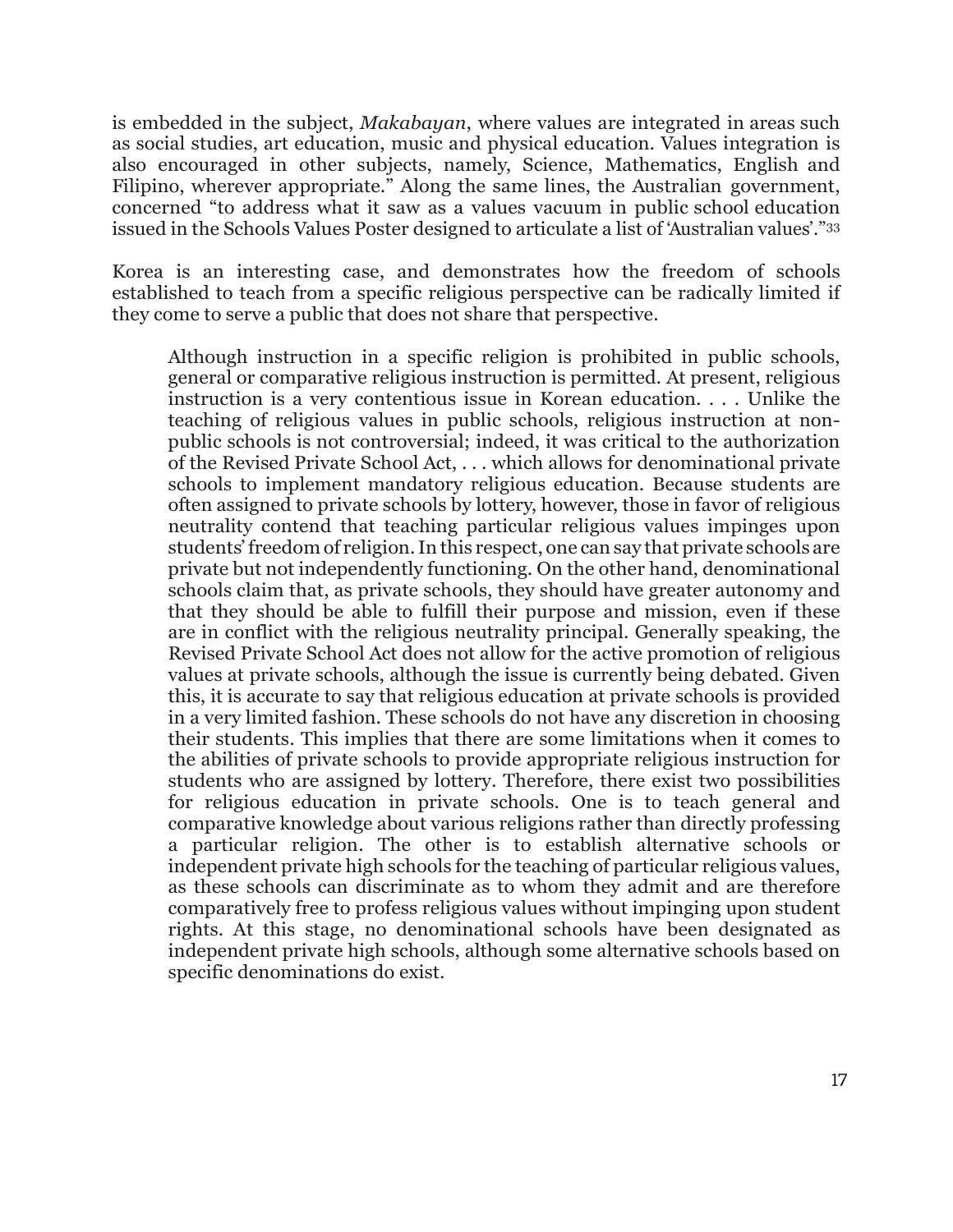is embedded in the subject, *Makabayan*, where values are integrated in areas such as social studies, art education, music and physical education. Values integration is also encouraged in other subjects, namely, Science, Mathematics, English and Filipino, wherever appropriate." Along the same lines, the Australian government, concerned "to address what it saw as a values vacuum in public school education issued in the Schools Values Poster designed to articulate a list of 'Australian values'."[33](#page-24-11)

Korea is an interesting case, and demonstrates how the freedom of schools established to teach from a specific religious perspective can be radically limited if they come to serve a public that does not share that perspective.

Although instruction in a specific religion is prohibited in public schools, general or comparative religious instruction is permitted. At present, religious instruction is a very contentious issue in Korean education. . . . Unlike the teaching of religious values in public schools, religious instruction at nonpublic schools is not controversial; indeed, it was critical to the authorization of the Revised Private School Act, . . . which allows for denominational private schools to implement mandatory religious education. Because students are often assigned to private schools by lottery, however, those in favor of religious neutrality contend that teaching particular religious values impinges upon students'freedom of religion.In this respect, one can say that private schools are private but not independently functioning. On the other hand, denominational schools claim that, as private schools, they should have greater autonomy and that they should be able to fulfill their purpose and mission, even if these are in conflict with the religious neutrality principal. Generally speaking, the Revised Private School Act does not allow for the active promotion of religious values at private schools, although the issue is currently being debated. Given this, it is accurate to say that religious education at private schools is provided in a very limited fashion. These schools do not have any discretion in choosing their students. This implies that there are some limitations when it comes to the abilities of private schools to provide appropriate religious instruction for students who are assigned by lottery. Therefore, there exist two possibilities for religious education in private schools. One is to teach general and comparative knowledge about various religions rather than directly professing a particular religion. The other is to establish alternative schools or independent private high schools for the teaching of particular religious values, as these schools can discriminate as to whom they admit and are therefore comparatively free to profess religious values without impinging upon student rights. At this stage, no denominational schools have been designated as independent private high schools, although some alternative schools based on specific denominations do exist.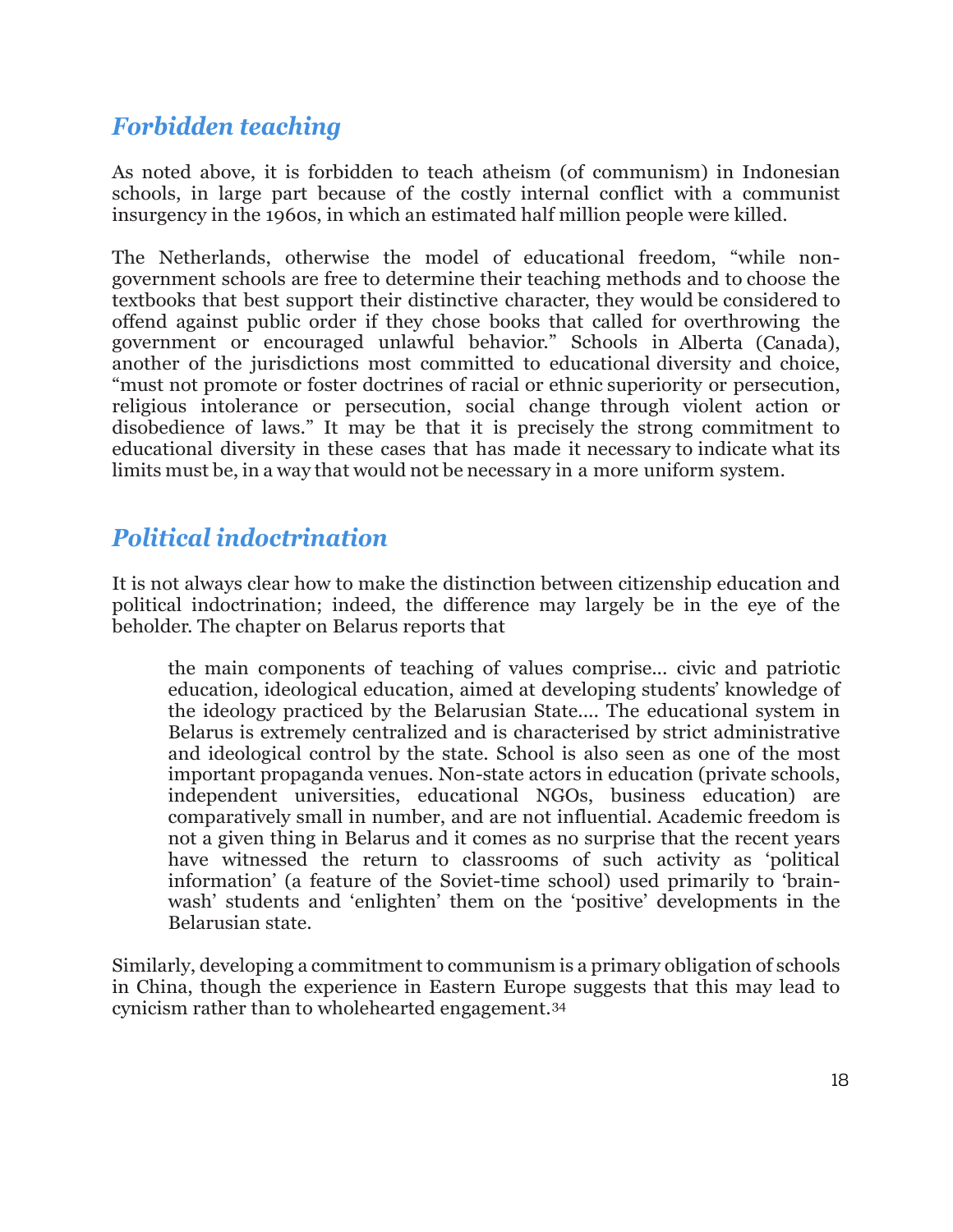# *Forbidden teaching*

As noted above, it is forbidden to teach atheism (of communism) in Indonesian schools, in large part because of the costly internal conflict with a communist insurgency in the 1960s, in which an estimated half million people were killed.

The Netherlands, otherwise the model of educational freedom, "while nongovernment schools are free to determine their teaching methods and to choose the textbooks that best support their distinctive character, they would be considered to offend against public order if they chose books that called for overthrowing the government or encouraged unlawful behavior." Schools in Alberta (Canada), another of the jurisdictions most committed to educational diversity and choice, "must not promote or foster doctrines of racial or ethnic superiority or persecution, religious intolerance or persecution, social change through violent action or disobedience of laws." It may be that it is precisely the strong commitment to educational diversity in these cases that has made it necessary to indicate what its limits must be, in a way that would not be necessary in a more uniform system.

## *Political indoctrination*

It is not always clear how to make the distinction between citizenship education and political indoctrination; indeed, the difference may largely be in the eye of the beholder. The chapter on Belarus reports that

the main components of teaching of values comprise... civic and patriotic education, ideological education, aimed at developing students' knowledge of the ideology practiced by the Belarusian State.... The educational system in Belarus is extremely centralized and is characterised by strict administrative and ideological control by the state. School is also seen as one of the most important propaganda venues. Non-state actors in education (private schools, independent universities, educational NGOs, business education) are comparatively small in number, and are not influential. Academic freedom is not a given thing in Belarus and it comes as no surprise that the recent years have witnessed the return to classrooms of such activity as 'political information' (a feature of the Soviet-time school) used primarily to 'brainwash' students and 'enlighten' them on the 'positive' developments in the Belarusian state.

Similarly, developing a commitment to communism is a primary obligation of schools in China, though the experience in Eastern Europe suggests that this may lead to cynicism rather than to wholehearted engagement.[34](#page-24-12)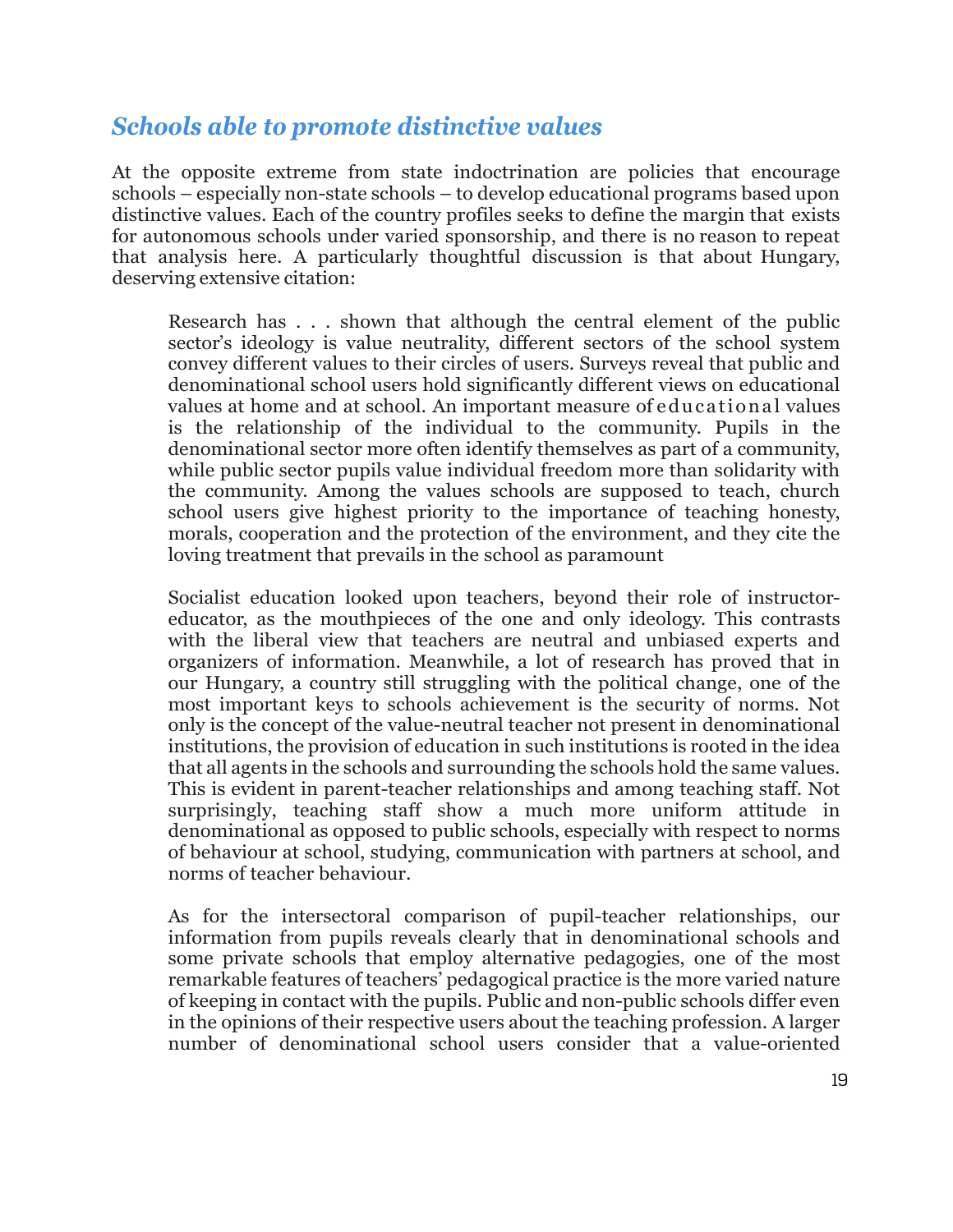## *Schools able to promote distinctive values*

At the opposite extreme from state indoctrination are policies that encourage schools – especially non-state schools – to develop educational programs based upon distinctive values. Each of the country profiles seeks to define the margin that exists for autonomous schools under varied sponsorship, and there is no reason to repeat that analysis here. A particularly thoughtful discussion is that about Hungary, deserving extensive citation:

Research has . . . shown that although the central element of the public sector's ideology is value neutrality, different sectors of the school system convey different values to their circles of users. Surveys reveal that public and denominational school users hold significantly different views on educational values at home and at school. An important measure of educational values is the relationship of the individual to the community. Pupils in the denominational sector more often identify themselves as part of a community, while public sector pupils value individual freedom more than solidarity with the community. Among the values schools are supposed to teach, church school users give highest priority to the importance of teaching honesty, morals, cooperation and the protection of the environment, and they cite the loving treatment that prevails in the school as paramount

Socialist education looked upon teachers, beyond their role of instructoreducator, as the mouthpieces of the one and only ideology. This contrasts with the liberal view that teachers are neutral and unbiased experts and organizers of information. Meanwhile, a lot of research has proved that in our Hungary, a country still struggling with the political change, one of the most important keys to schools achievement is the security of norms. Not only is the concept of the value-neutral teacher not present in denominational institutions, the provision of education in such institutions is rooted in the idea that all agents in the schools and surrounding the schools hold the same values. This is evident in parent-teacher relationships and among teaching staff. Not surprisingly, teaching staff show a much more uniform attitude in denominational as opposed to public schools, especially with respect to norms of behaviour at school, studying, communication with partners at school, and norms of teacher behaviour.

As for the intersectoral comparison of pupil-teacher relationships, our information from pupils reveals clearly that in denominational schools and some private schools that employ alternative pedagogies, one of the most remarkable features of teachers' pedagogical practice is the more varied nature of keeping in contact with the pupils. Public and non-public schools differ even in the opinions of their respective users about the teaching profession. A larger number of denominational school users consider that a value-oriented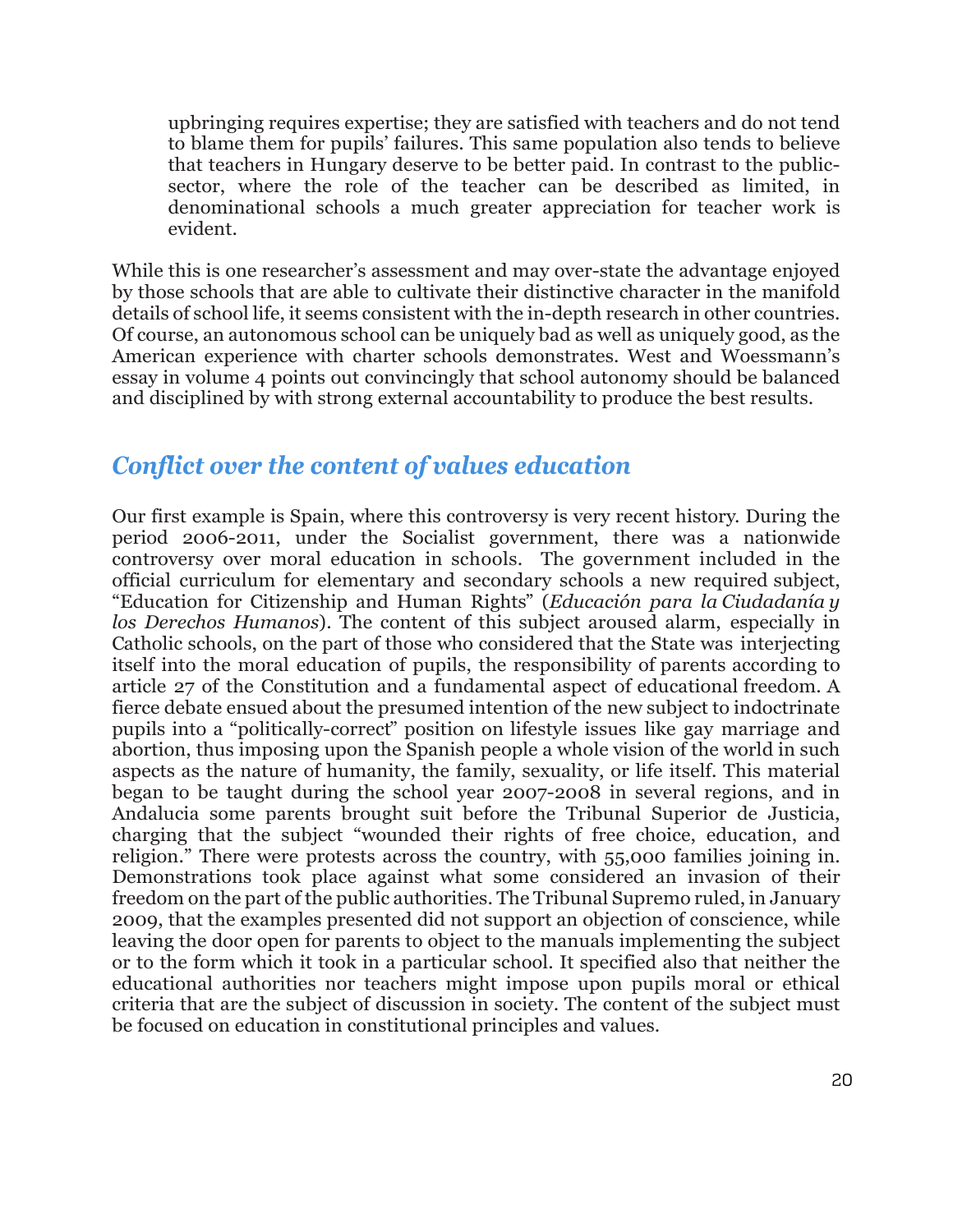upbringing requires expertise; they are satisfied with teachers and do not tend to blame them for pupils' failures. This same population also tends to believe that teachers in Hungary deserve to be better paid. In contrast to the publicsector, where the role of the teacher can be described as limited, in denominational schools a much greater appreciation for teacher work is evident.

While this is one researcher's assessment and may over-state the advantage enjoyed by those schools that are able to cultivate their distinctive character in the manifold details of school life, it seems consistent with the in-depth research in other countries. Of course, an autonomous school can be uniquely bad as well as uniquely good, as the American experience with charter schools demonstrates. West and Woessmann's essay in volume 4 points out convincingly that school autonomy should be balanced and disciplined by with strong external accountability to produce the best results.

## *Conflict over the content of values education*

Our first example is Spain, where this controversy is very recent history. During the period 2006-2011, under the Socialist government, there was a nationwide controversy over moral education in schools. The government included in the official curriculum for elementary and secondary schools a new required subject, "Education for Citizenship and Human Rights" (*Educación para la Ciudadanía y los Derechos Humanos*). The content of this subject aroused alarm, especially in Catholic schools, on the part of those who considered that the State was interjecting itself into the moral education of pupils, the responsibility of parents according to article 27 of the Constitution and a fundamental aspect of educational freedom. A fierce debate ensued about the presumed intention of the new subject to indoctrinate pupils into a "politically-correct" position on lifestyle issues like gay marriage and abortion, thus imposing upon the Spanish people a whole vision of the world in such aspects as the nature of humanity, the family, sexuality, or life itself. This material began to be taught during the school year 2007-2008 in several regions, and in Andalucia some parents brought suit before the Tribunal Superior de Justicia, charging that the subject "wounded their rights of free choice, education, and religion." There were protests across the country, with 55,000 families joining in. Demonstrations took place against what some considered an invasion of their freedom on the part of the public authorities. The Tribunal Supremo ruled, in January 2009, that the examples presented did not support an objection of conscience, while leaving the door open for parents to object to the manuals implementing the subject or to the form which it took in a particular school. It specified also that neither the educational authorities nor teachers might impose upon pupils moral or ethical criteria that are the subject of discussion in society. The content of the subject must be focused on education in constitutional principles and values.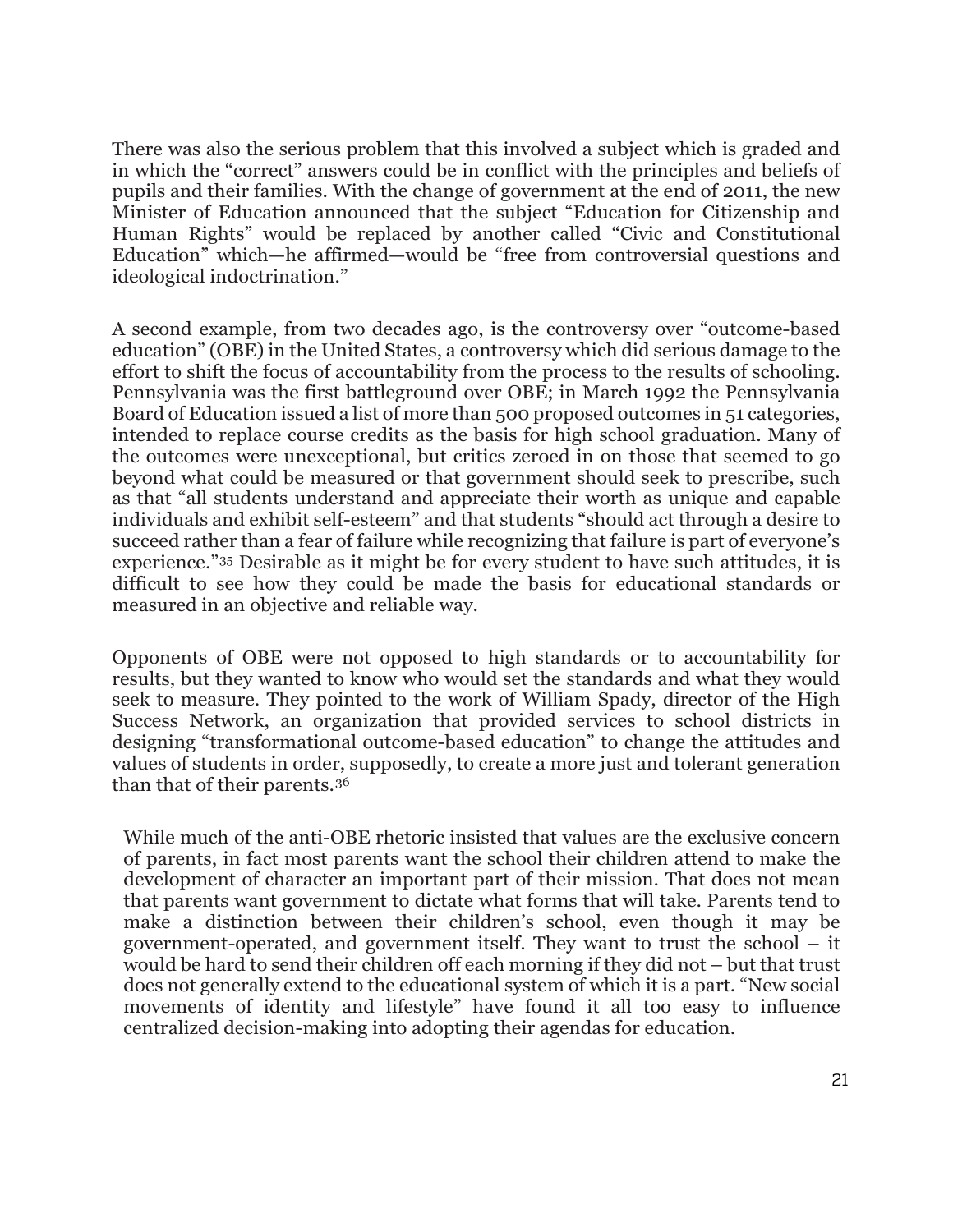There was also the serious problem that this involved a subject which is graded and in which the "correct" answers could be in conflict with the principles and beliefs of pupils and their families. With the change of government at the end of 2011, the new Minister of Education announced that the subject "Education for Citizenship and Human Rights" would be replaced by another called "Civic and Constitutional Education" which—he affirmed—would be "free from controversial questions and ideological indoctrination."

A second example, from two decades ago, is the controversy over "outcome-based education" (OBE) in the United States, a controversy which did serious damage to the effort to shift the focus of accountability from the process to the results of schooling. Pennsylvania was the first battleground over OBE; in March 1992 the Pennsylvania Board of Education issued a list of more than 500 proposed outcomes in 51 categories, intended to replace course credits as the basis for high school graduation. Many of the outcomes were unexceptional, but critics zeroed in on those that seemed to go beyond what could be measured or that government should seek to prescribe, such as that "all students understand and appreciate their worth as unique and capable individuals and exhibit self-esteem" and that students "should act through a desire to succeed rather than a fear of failure while recognizing that failure is part of everyone's experience."[35](#page-24-13) Desirable as it might be for every student to have such attitudes, it is difficult to see how they could be made the basis for educational standards or measured in an objective and reliable way.

Opponents of OBE were not opposed to high standards or to accountability for results, but they wanted to know who would set the standards and what they would seek to measure. They pointed to the work of William Spady, director of the High Success Network, an organization that provided services to school districts in designing "transformational outcome-based education" to change the attitudes and values of students in order, supposedly, to create a more just and tolerant generation than that of their parents.[36](#page-24-14)

While much of the anti-OBE rhetoric insisted that values are the exclusive concern of parents, in fact most parents want the school their children attend to make the development of character an important part of their mission. That does not mean that parents want government to dictate what forms that will take. Parents tend to make a distinction between their children's school, even though it may be government-operated, and government itself. They want to trust the school – it would be hard to send their children off each morning if they did not – but that trust does not generally extend to the educational system of which it is a part. "New social movements of identity and lifestyle" have found it all too easy to influence centralized decision-making into adopting their agendas for education.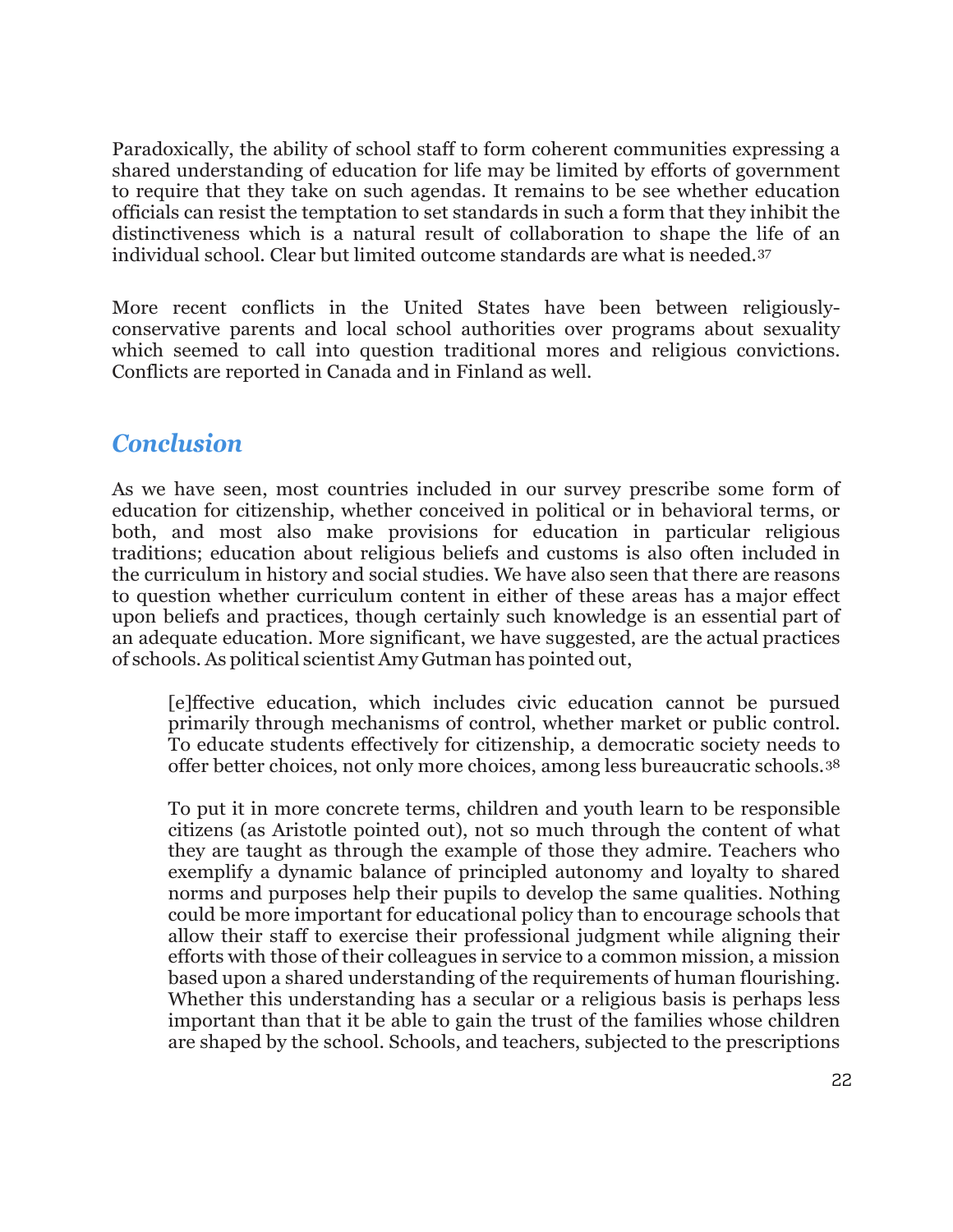Paradoxically, the ability of school staff to form coherent communities expressing a shared understanding of education for life may be limited by efforts of government to require that they take on such agendas. It remains to be see whether education officials can resist the temptation to set standards in such a form that they inhibit the distinctiveness which is a natural result of collaboration to shape the life of an individual school. Clear but limited outcome standards are what is needed.[37](#page-24-15)

More recent conflicts in the United States have been between religiouslyconservative parents and local school authorities over programs about sexuality which seemed to call into question traditional mores and religious convictions. Conflicts are reported in Canada and in Finland as well.

#### *Conclusion*

As we have seen, most countries included in our survey prescribe some form of education for citizenship, whether conceived in political or in behavioral terms, or both, and most also make provisions for education in particular religious traditions; education about religious beliefs and customs is also often included in the curriculum in history and social studies. We have also seen that there are reasons to question whether curriculum content in either of these areas has a major effect upon beliefs and practices, though certainly such knowledge is an essential part of an adequate education. More significant, we have suggested, are the actual practices of schools. As political scientist Amy Gutman has pointed out,

[e]ffective education, which includes civic education cannot be pursued primarily through mechanisms of control, whether market or public control. To educate students effectively for citizenship, a democratic society needs to offer better choices, not only more choices, among less bureaucratic schools.[38](#page-24-16)

To put it in more concrete terms, children and youth learn to be responsible citizens (as Aristotle pointed out), not so much through the content of what they are taught as through the example of those they admire. Teachers who exemplify a dynamic balance of principled autonomy and loyalty to shared norms and purposes help their pupils to develop the same qualities. Nothing could be more important for educational policy than to encourage schools that allow their staff to exercise their professional judgment while aligning their efforts with those of their colleagues in service to a common mission, a mission based upon a shared understanding of the requirements of human flourishing. Whether this understanding has a secular or a religious basis is perhaps less important than that it be able to gain the trust of the families whose children are shaped by the school. Schools, and teachers, subjected to the prescriptions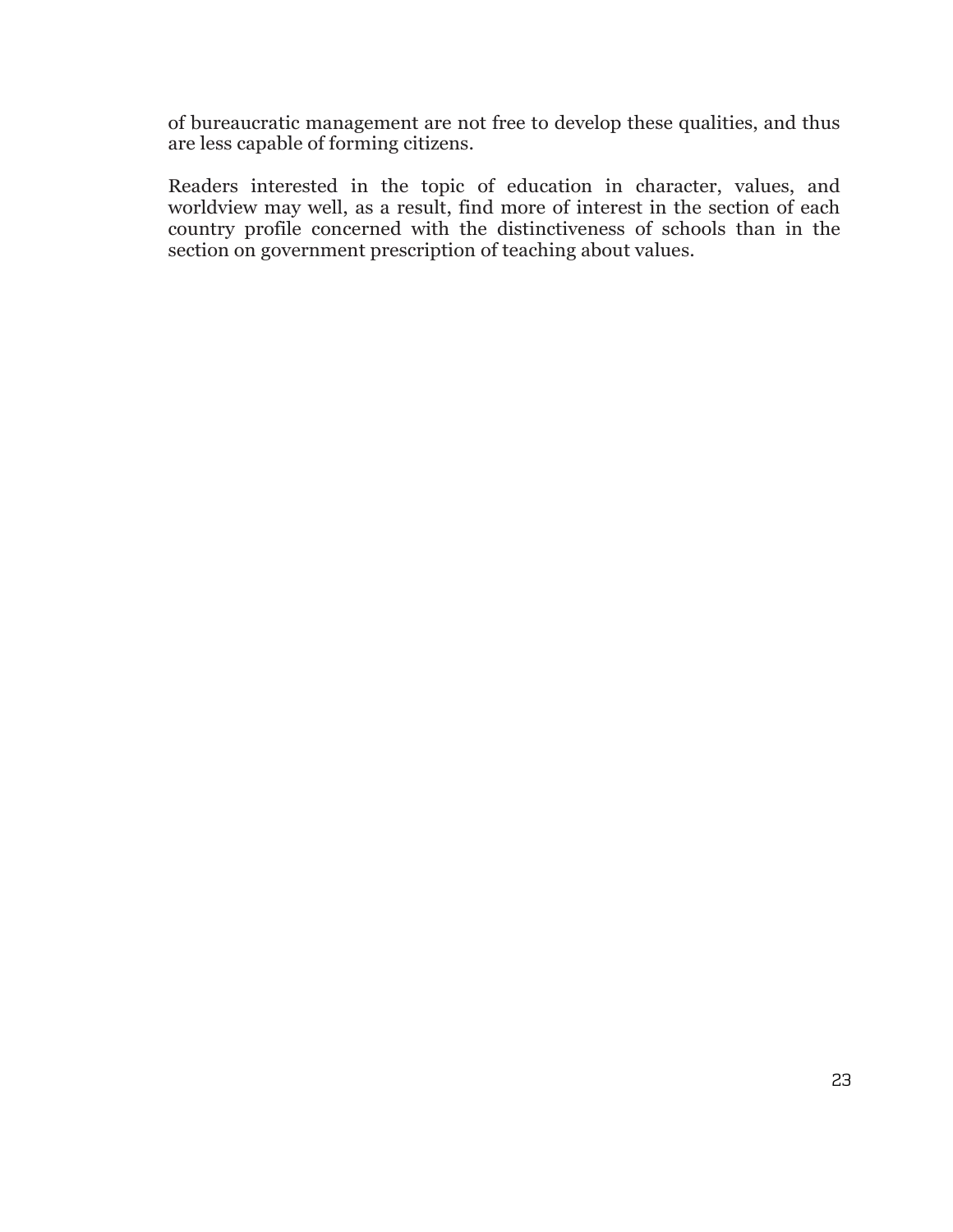of bureaucratic management are not free to develop these qualities, and thus are less capable of forming citizens.

Readers interested in the topic of education in character, values, and worldview may well, as a result, find more of interest in the section of each country profile concerned with the distinctiveness of schools than in the section on government prescription of teaching about values.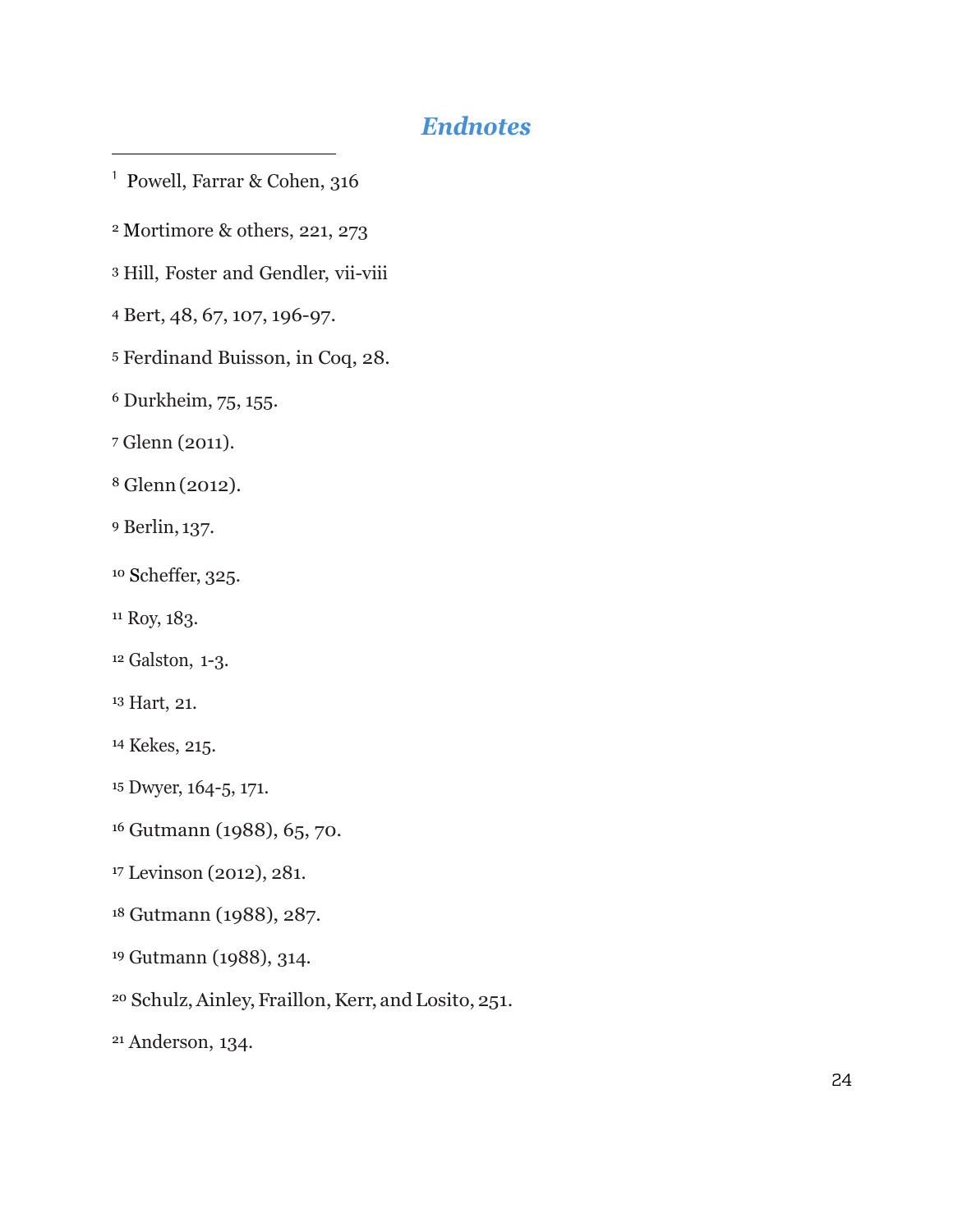## *Endnotes*

<span id="page-23-0"></span>Powell, Farrar & Cohen, 316

<span id="page-23-1"></span>Mortimore & others, 221, 273

<span id="page-23-2"></span>Hill, Foster and Gendler, vii-viii

<span id="page-23-3"></span>Bert, 48, 67, 107, 196-97.

<span id="page-23-4"></span>Ferdinand Buisson, in Coq, 28.

<span id="page-23-5"></span>Durkheim, 75, 155.

<span id="page-23-6"></span>Glenn (2011).

 $\overline{a}$ 

<span id="page-23-7"></span>Glenn(2012).

<span id="page-23-8"></span>Berlin, 137.

<span id="page-23-9"></span>Scheffer, 325.

<span id="page-23-10"></span><sup>11</sup> Roy, 183.

<span id="page-23-11"></span>Galston, 1-3.

<span id="page-23-12"></span>Hart, 21.

<span id="page-23-13"></span>Kekes, 215.

<span id="page-23-14"></span>Dwyer, 164-5, 171.

<span id="page-23-15"></span>Gutmann (1988), 65, 70.

<span id="page-23-16"></span>Levinson (2012), 281.

<span id="page-23-17"></span>Gutmann (1988), 287.

<span id="page-23-18"></span>Gutmann (1988), 314.

<span id="page-23-19"></span><sup>20</sup> Schulz, Ainley, Fraillon, Kerr, and Losito, 251.

<span id="page-23-20"></span>Anderson, 134.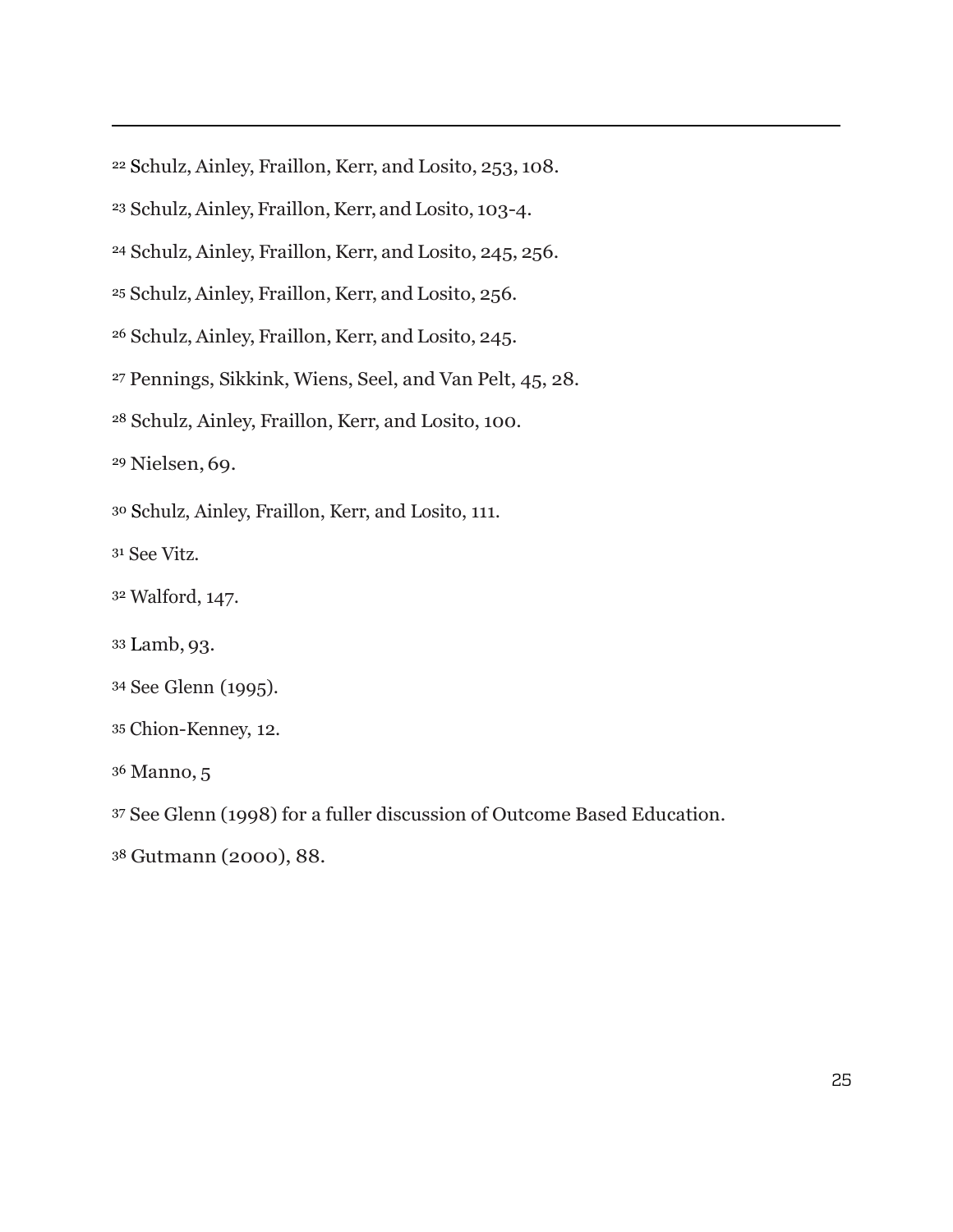<span id="page-24-0"></span>Schulz, Ainley, Fraillon, Kerr, and Losito, 253, 108.

- <span id="page-24-1"></span>Schulz,Ainley, Fraillon,Kerr, and Losito, 103-4.
- <span id="page-24-2"></span><sup>24</sup> Schulz, Ainley, Fraillon, Kerr, and Losito, 245, 256.
- <span id="page-24-3"></span><sup>25</sup> Schulz, Ainley, Fraillon, Kerr, and Losito, 256.
- <span id="page-24-4"></span><sup>26</sup> Schulz, Ainley, Fraillon, Kerr, and Losito, 245.
- <span id="page-24-5"></span>Pennings, Sikkink, Wiens, Seel, and Van Pelt, 45, 28.
- <span id="page-24-6"></span>Schulz, Ainley, Fraillon, Kerr, and Losito, 100.

<span id="page-24-7"></span>Nielsen, 69.

 $\overline{a}$ 

<span id="page-24-8"></span>Schulz, Ainley, Fraillon, Kerr, and Losito, 111.

<span id="page-24-9"></span>See Vitz.

- <span id="page-24-10"></span>Walford, 147.
- <span id="page-24-11"></span>Lamb, 93.
- <span id="page-24-12"></span>See Glenn (1995).
- <span id="page-24-13"></span>Chion-Kenney, 12.
- <span id="page-24-14"></span>Manno, 5
- <span id="page-24-15"></span>See Glenn (1998) for a fuller discussion of Outcome Based Education.
- <span id="page-24-16"></span>Gutmann (2000), 88.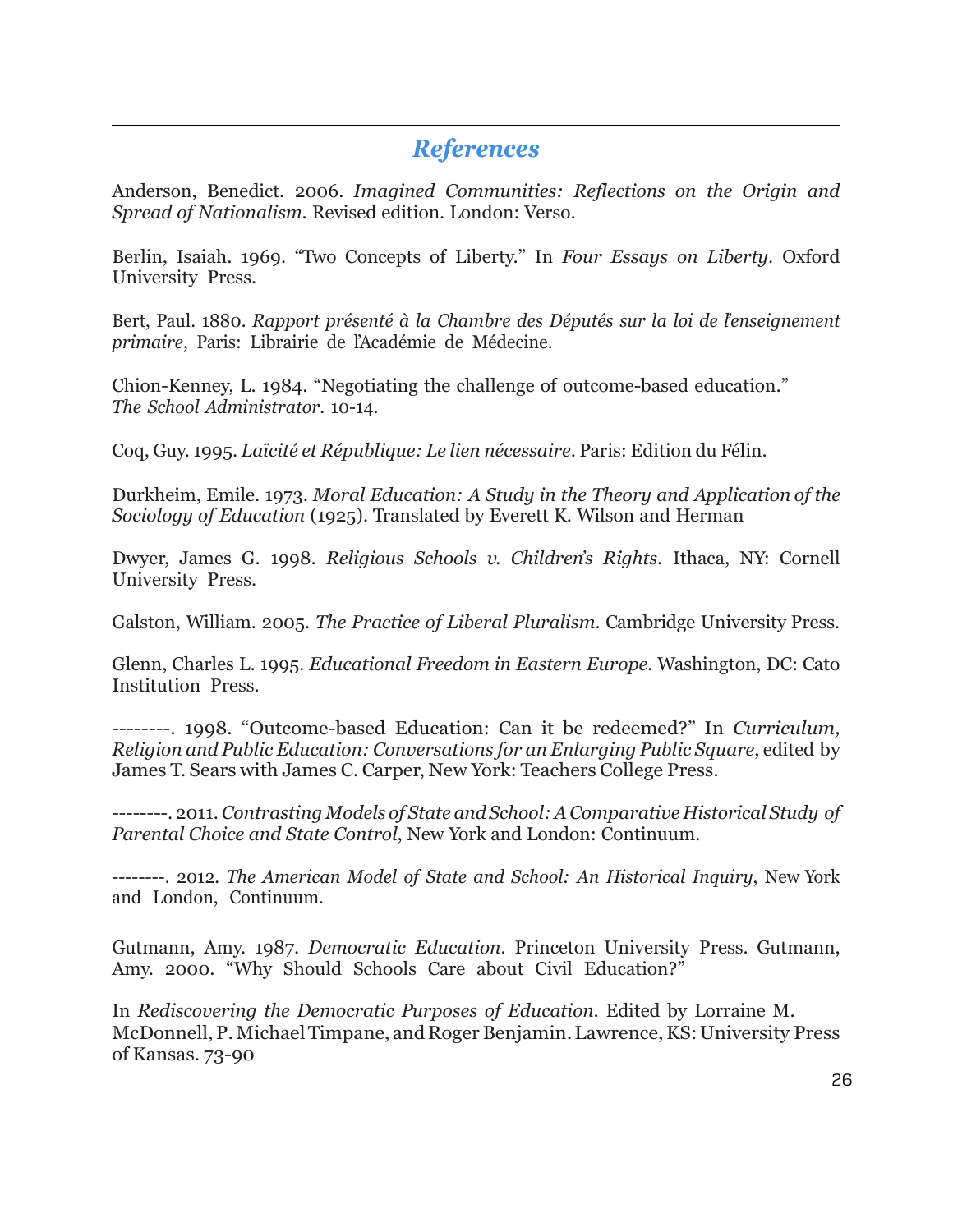#### *References*

 $\overline{a}$ 

Anderson, Benedict. 2006. *Imagined Communities: Reflections on the Origin and Spread of Nationalism*. Revised edition. London: Verso.

Berlin, Isaiah. 1969. "Two Concepts of Liberty." In *Four Essays on Liberty*. Oxford University Press.

Bert, Paul. 1880. *Rapport présenté à la Chambre des Députés sur la loi de l'enseignement primaire*, Paris: Librairie de l'Académie de Médecine.

Chion-Kenney, L. 1984. "Negotiating the challenge of outcome-based education." *The School Administrator*. 10-14.

Coq, Guy. 1995. *Laïcité et République: Le lien nécessaire*. Paris: Edition du Félin.

Durkheim, Emile. 1973. *Moral Education: A Study in the Theory and Application of the Sociology of Education* (1925). Translated by Everett K. Wilson and Herman

Dwyer, James G. 1998. *Religious Schools v. Children's Rights.* Ithaca, NY: Cornell University Press.

Galston, William. 2005. *The Practice of Liberal Pluralism*. Cambridge University Press.

Glenn, Charles L. 1995. *Educational Freedom in Eastern Europe*. Washington, DC: Cato Institution Press.

--------. 1998. "Outcome-based Education: Can it be redeemed?" In *Curriculum, Religion and Public Education: Conversations for an Enlarging Public Square*, edited by James T. Sears with James C. Carper, New York: Teachers College Press.

--------. 2011.*Contrasting Models of State and School:AComparative Historical Study of Parental Choice and State Control*, New York and London: Continuum.

--------. 2012. *The American Model of State and School: An Historical Inquiry*, New York and London, Continuum.

Gutmann, Amy. 1987. *Democratic Education*. Princeton University Press. Gutmann, Amy. 2000. "Why Should Schools Care about Civil Education?"

In *Rediscovering the Democratic Purposes of Education*. Edited by Lorraine M. McDonnell, P. Michael Timpane, and Roger Benjamin. Lawrence, KS: University Press of Kansas. 73-90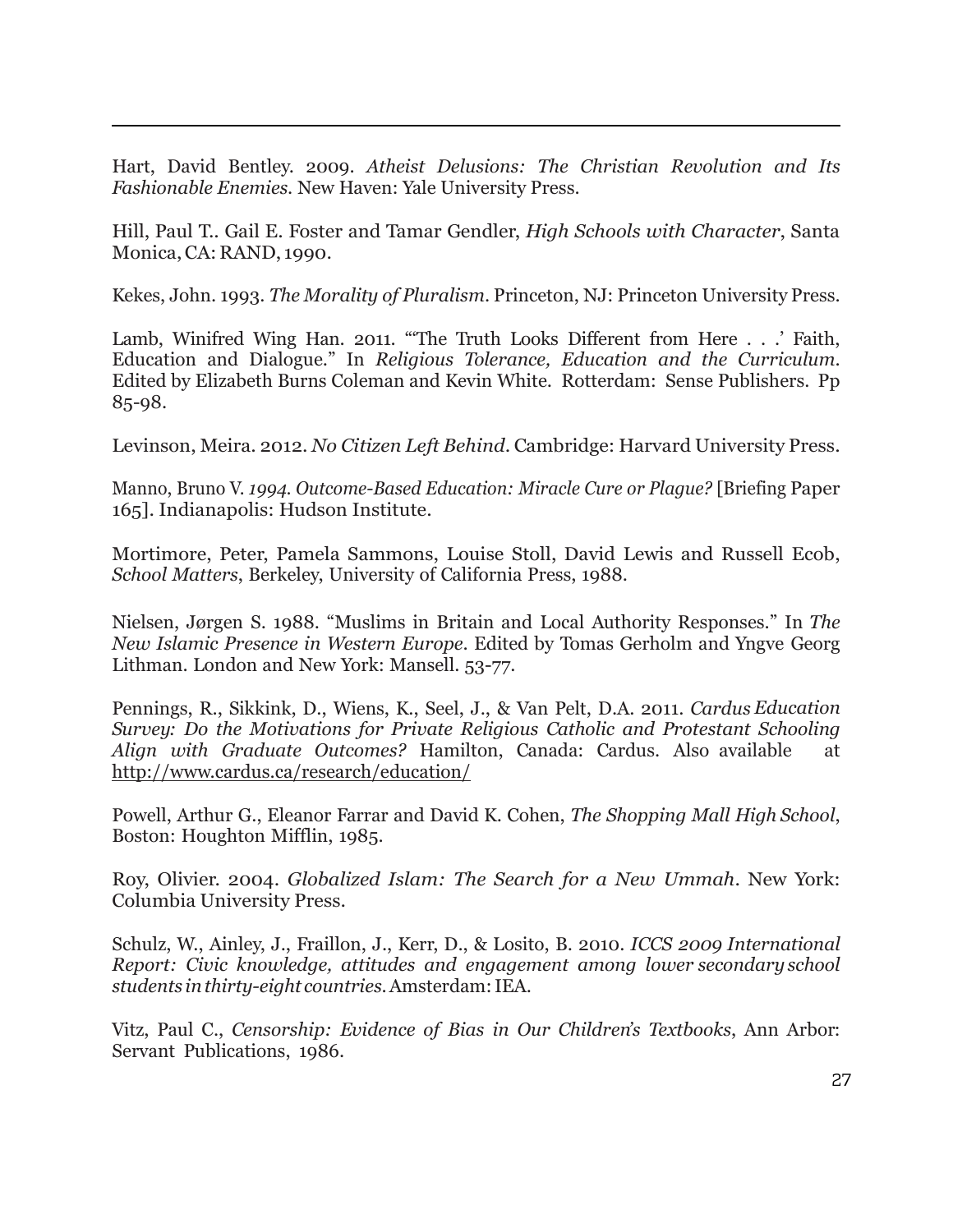Hart, David Bentley. 2009. *Atheist Delusions: The Christian Revolution and Its Fashionable Enemies*. New Haven: Yale University Press.

 $\overline{a}$ 

Hill, Paul T.. Gail E. Foster and Tamar Gendler, *High Schools with Character*, Santa Monica,CA: RAND, 1990.

Kekes, John. 1993. *The Morality of Pluralism*. Princeton, NJ: Princeton University Press.

Lamb, Winifred Wing Han. 2011. "'The Truth Looks Different from Here . . .' Faith, Education and Dialogue." In *Religious Tolerance, Education and the Curriculum*. Edited by Elizabeth Burns Coleman and Kevin White. Rotterdam: Sense Publishers. Pp 85-98.

Levinson, Meira. 2012. *No Citizen Left Behind*. Cambridge: Harvard University Press.

Manno, Bruno V. *1994. Outcome-Based Education: Miracle Cure or Plague?* [Briefing Paper 165]. Indianapolis: Hudson Institute.

Mortimore, Peter, Pamela Sammons, Louise Stoll, David Lewis and Russell Ecob, *School Matters*, Berkeley, University of California Press, 1988.

Nielsen, Jørgen S. 1988. "Muslims in Britain and Local Authority Responses." In *The New Islamic Presence in Western Europe*. Edited by Tomas Gerholm and Yngve Georg Lithman. London and New York: Mansell. 53-77.

Pennings, R., Sikkink, D., Wiens, K., Seel, J., & Van Pelt, D.A. 2011. *Cardus Education Survey: Do the Motivations for Private Religious Catholic and Protestant Schooling Align with Graduate Outcomes?* Hamilton, Canada: Cardus. Also available at <http://www.cardus.ca/research/education/>

Powell, Arthur G., Eleanor Farrar and David K. Cohen, *The Shopping Mall High School*, Boston: Houghton Mifflin, 1985.

Roy, Olivier. 2004. *Globalized Islam: The Search for a New Ummah*. New York: Columbia University Press.

Schulz, W., Ainley, J., Fraillon, J., Kerr, D., & Losito, B. 2010. *ICCS 2009 International Report: Civic knowledge, attitudes and engagement among lower secondary school students inthirty-eight countries*.Amsterdam:IEA.

Vitz, Paul C., *Censorship: Evidence of Bias in Our Children's Textbooks*, Ann Arbor: Servant Publications, 1986.